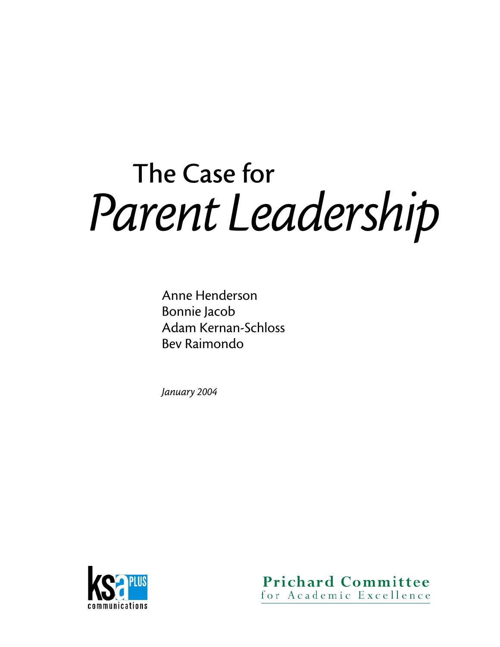# The Case for *Parent Leadership*

Anne Henderson Bonnie Jacob Adam Kernan-Schloss Bev Raimondo

*January 2004*



**Prichard Committee** for Academic Excellence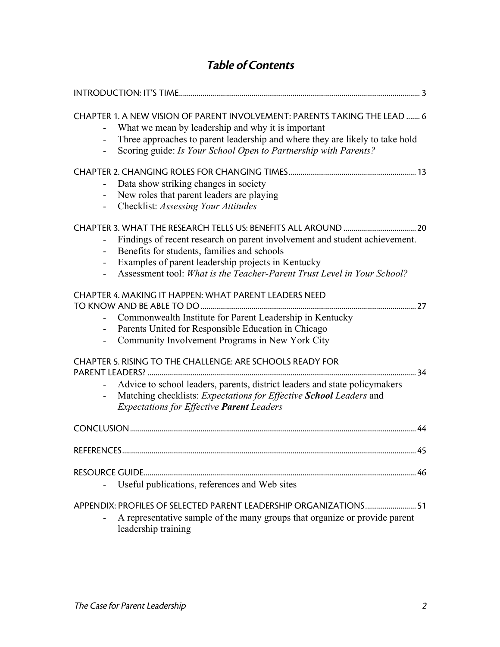## Table of Contents

| CHAPTER 1. A NEW VISION OF PARENT INVOLVEMENT: PARENTS TAKING THE LEAD  6<br>What we mean by leadership and why it is important<br>Three approaches to parent leadership and where they are likely to take hold<br>Scoring guide: Is Your School Open to Partnership with Parents? |  |
|------------------------------------------------------------------------------------------------------------------------------------------------------------------------------------------------------------------------------------------------------------------------------------|--|
| Data show striking changes in society<br>New roles that parent leaders are playing<br>Checklist: Assessing Your Attitudes                                                                                                                                                          |  |
| Findings of recent research on parent involvement and student achievement.<br>Benefits for students, families and schools<br>Examples of parent leadership projects in Kentucky<br>Assessment tool: What is the Teacher-Parent Trust Level in Your School?                         |  |
| CHAPTER 4. MAKING IT HAPPEN: WHAT PARENT LEADERS NEED<br>Commonwealth Institute for Parent Leadership in Kentucky<br>Parents United for Responsible Education in Chicago<br>Community Involvement Programs in New York City                                                        |  |
| CHAPTER 5. RISING TO THE CHALLENGE: ARE SCHOOLS READY FOR<br>34<br>Advice to school leaders, parents, district leaders and state policymakers<br>Matching checklists: Expectations for Effective School Leaders and<br><b>Expectations for Effective Parent Leaders</b>            |  |
|                                                                                                                                                                                                                                                                                    |  |
| 45<br><b>REFERENCES.</b>                                                                                                                                                                                                                                                           |  |
| <b>RESOURCE GUIDE</b><br>Useful publications, references and Web sites                                                                                                                                                                                                             |  |
| APPENDIX: PROFILES OF SELECTED PARENT LEADERSHIP ORGANIZATIONS 51<br>A representative sample of the many groups that organize or provide parent<br>leadership training                                                                                                             |  |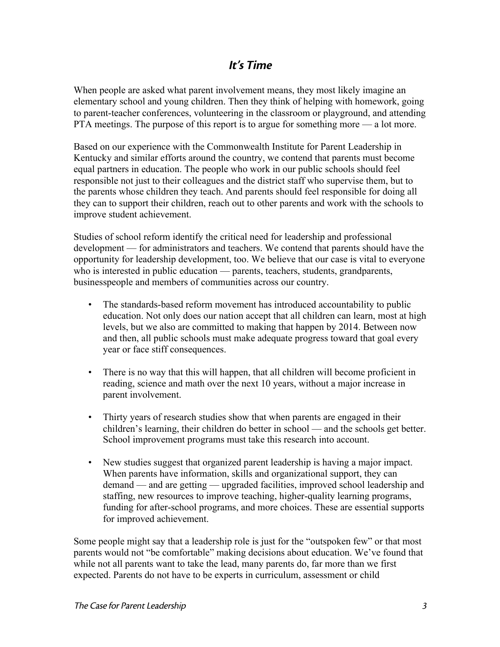## It's Time

When people are asked what parent involvement means, they most likely imagine an elementary school and young children. Then they think of helping with homework, going to parent-teacher conferences, volunteering in the classroom or playground, and attending PTA meetings. The purpose of this report is to argue for something more — a lot more.

Based on our experience with the Commonwealth Institute for Parent Leadership in Kentucky and similar efforts around the country, we contend that parents must become equal partners in education. The people who work in our public schools should feel responsible not just to their colleagues and the district staff who supervise them, but to the parents whose children they teach. And parents should feel responsible for doing all they can to support their children, reach out to other parents and work with the schools to improve student achievement.

Studies of school reform identify the critical need for leadership and professional development — for administrators and teachers. We contend that parents should have the opportunity for leadership development, too. We believe that our case is vital to everyone who is interested in public education — parents, teachers, students, grandparents, businesspeople and members of communities across our country.

- The standards-based reform movement has introduced accountability to public education. Not only does our nation accept that all children can learn, most at high levels, but we also are committed to making that happen by 2014. Between now and then, all public schools must make adequate progress toward that goal every year or face stiff consequences.
- There is no way that this will happen, that all children will become proficient in reading, science and math over the next 10 years, without a major increase in parent involvement.
- Thirty years of research studies show that when parents are engaged in their children's learning, their children do better in school — and the schools get better. School improvement programs must take this research into account.
- New studies suggest that organized parent leadership is having a major impact. When parents have information, skills and organizational support, they can demand — and are getting — upgraded facilities, improved school leadership and staffing, new resources to improve teaching, higher-quality learning programs, funding for after-school programs, and more choices. These are essential supports for improved achievement.

Some people might say that a leadership role is just for the "outspoken few" or that most parents would not "be comfortable" making decisions about education. We've found that while not all parents want to take the lead, many parents do, far more than we first expected. Parents do not have to be experts in curriculum, assessment or child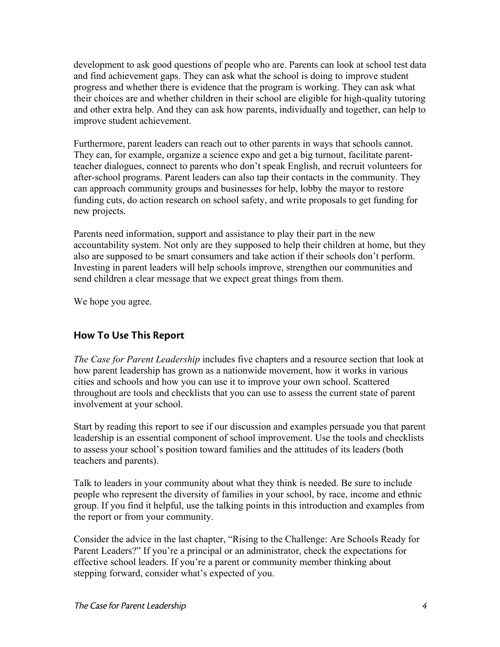development to ask good questions of people who are. Parents can look at school test data and find achievement gaps. They can ask what the school is doing to improve student progress and whether there is evidence that the program is working. They can ask what their choices are and whether children in their school are eligible for high-quality tutoring and other extra help. And they can ask how parents, individually and together, can help to improve student achievement.

Furthermore, parent leaders can reach out to other parents in ways that schools cannot. They can, for example, organize a science expo and get a big turnout, facilitate parentteacher dialogues, connect to parents who don't speak English, and recruit volunteers for after-school programs. Parent leaders can also tap their contacts in the community. They can approach community groups and businesses for help, lobby the mayor to restore funding cuts, do action research on school safety, and write proposals to get funding for new projects.

Parents need information, support and assistance to play their part in the new accountability system. Not only are they supposed to help their children at home, but they also are supposed to be smart consumers and take action if their schools don't perform. Investing in parent leaders will help schools improve, strengthen our communities and send children a clear message that we expect great things from them.

We hope you agree.

## How To Use This Report

*The Case for Parent Leadership* includes five chapters and a resource section that look at how parent leadership has grown as a nationwide movement, how it works in various cities and schools and how you can use it to improve your own school. Scattered throughout are tools and checklists that you can use to assess the current state of parent involvement at your school.

Start by reading this report to see if our discussion and examples persuade you that parent leadership is an essential component of school improvement. Use the tools and checklists to assess your school's position toward families and the attitudes of its leaders (both teachers and parents).

Talk to leaders in your community about what they think is needed. Be sure to include people who represent the diversity of families in your school, by race, income and ethnic group. If you find it helpful, use the talking points in this introduction and examples from the report or from your community.

Consider the advice in the last chapter, "Rising to the Challenge: Are Schools Ready for Parent Leaders?" If you're a principal or an administrator, check the expectations for effective school leaders. If you're a parent or community member thinking about stepping forward, consider what's expected of you.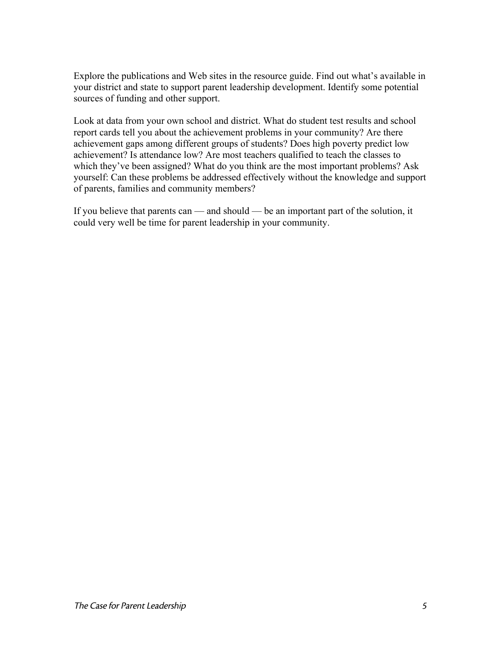Explore the publications and Web sites in the resource guide. Find out what's available in your district and state to support parent leadership development. Identify some potential sources of funding and other support.

Look at data from your own school and district. What do student test results and school report cards tell you about the achievement problems in your community? Are there achievement gaps among different groups of students? Does high poverty predict low achievement? Is attendance low? Are most teachers qualified to teach the classes to which they've been assigned? What do you think are the most important problems? Ask yourself: Can these problems be addressed effectively without the knowledge and support of parents, families and community members?

If you believe that parents can — and should — be an important part of the solution, it could very well be time for parent leadership in your community.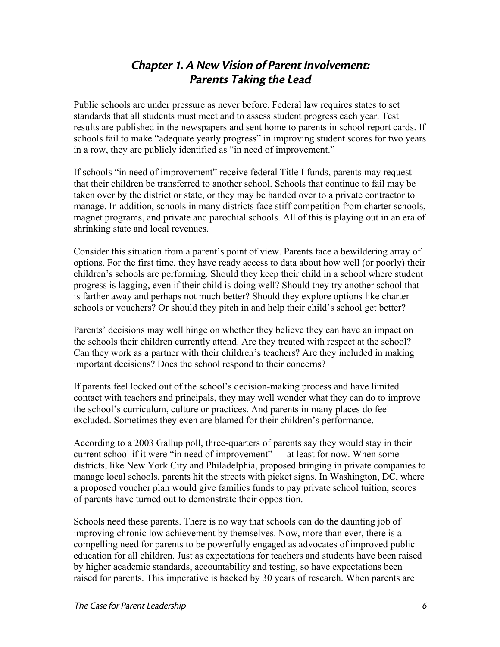## Chapter 1. A New Vision of Parent Involvement: Parents Taking the Lead

Public schools are under pressure as never before. Federal law requires states to set standards that all students must meet and to assess student progress each year. Test results are published in the newspapers and sent home to parents in school report cards. If schools fail to make "adequate yearly progress" in improving student scores for two years in a row, they are publicly identified as "in need of improvement."

If schools "in need of improvement" receive federal Title I funds, parents may request that their children be transferred to another school. Schools that continue to fail may be taken over by the district or state, or they may be handed over to a private contractor to manage. In addition, schools in many districts face stiff competition from charter schools, magnet programs, and private and parochial schools. All of this is playing out in an era of shrinking state and local revenues.

Consider this situation from a parent's point of view. Parents face a bewildering array of options. For the first time, they have ready access to data about how well (or poorly) their children's schools are performing. Should they keep their child in a school where student progress is lagging, even if their child is doing well? Should they try another school that is farther away and perhaps not much better? Should they explore options like charter schools or vouchers? Or should they pitch in and help their child's school get better?

Parents' decisions may well hinge on whether they believe they can have an impact on the schools their children currently attend. Are they treated with respect at the school? Can they work as a partner with their children's teachers? Are they included in making important decisions? Does the school respond to their concerns?

If parents feel locked out of the school's decision-making process and have limited contact with teachers and principals, they may well wonder what they can do to improve the school's curriculum, culture or practices. And parents in many places do feel excluded. Sometimes they even are blamed for their children's performance.

According to a 2003 Gallup poll, three-quarters of parents say they would stay in their current school if it were "in need of improvement" — at least for now. When some districts, like New York City and Philadelphia, proposed bringing in private companies to manage local schools, parents hit the streets with picket signs. In Washington, DC, where a proposed voucher plan would give families funds to pay private school tuition, scores of parents have turned out to demonstrate their opposition.

Schools need these parents. There is no way that schools can do the daunting job of improving chronic low achievement by themselves. Now, more than ever, there is a compelling need for parents to be powerfully engaged as advocates of improved public education for all children. Just as expectations for teachers and students have been raised by higher academic standards, accountability and testing, so have expectations been raised for parents. This imperative is backed by 30 years of research. When parents are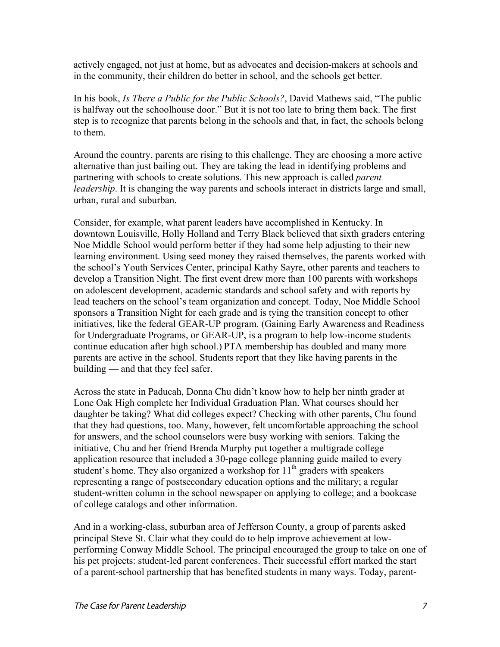actively engaged, not just at home, but as advocates and decision-makers at schools and in the community, their children do better in school, and the schools get better.

In his book, *Is There a Public for the Public Schools?*, David Mathews said, "The public is halfway out the schoolhouse door." But it is not too late to bring them back. The first step is to recognize that parents belong in the schools and that, in fact, the schools belong to them.

Around the country, parents are rising to this challenge. They are choosing a more active alternative than just bailing out. They are taking the lead in identifying problems and partnering with schools to create solutions. This new approach is called *parent leadership*. It is changing the way parents and schools interact in districts large and small, urban, rural and suburban.

Consider, for example, what parent leaders have accomplished in Kentucky. In downtown Louisville, Holly Holland and Terry Black believed that sixth graders entering Noe Middle School would perform better if they had some help adjusting to their new learning environment. Using seed money they raised themselves, the parents worked with the school's Youth Services Center, principal Kathy Sayre, other parents and teachers to develop a Transition Night. The first event drew more than 100 parents with workshops on adolescent development, academic standards and school safety and with reports by lead teachers on the school's team organization and concept. Today, Noe Middle School sponsors a Transition Night for each grade and is tying the transition concept to other initiatives, like the federal GEAR-UP program. (Gaining Early Awareness and Readiness for Undergraduate Programs, or GEAR-UP, is a program to help low-income students continue education after high school.) PTA membership has doubled and many more parents are active in the school. Students report that they like having parents in the building — and that they feel safer.

Across the state in Paducah, Donna Chu didn't know how to help her ninth grader at Lone Oak High complete her Individual Graduation Plan. What courses should her daughter be taking? What did colleges expect? Checking with other parents, Chu found that they had questions, too. Many, however, felt uncomfortable approaching the school for answers, and the school counselors were busy working with seniors. Taking the initiative, Chu and her friend Brenda Murphy put together a multigrade college application resource that included a 30-page college planning guide mailed to every student's home. They also organized a workshop for  $11<sup>th</sup>$  graders with speakers representing a range of postsecondary education options and the military; a regular student-written column in the school newspaper on applying to college; and a bookcase of college catalogs and other information.

And in a working-class, suburban area of Jefferson County, a group of parents asked principal Steve St. Clair what they could do to help improve achievement at lowperforming Conway Middle School. The principal encouraged the group to take on one of his pet projects: student-led parent conferences. Their successful effort marked the start of a parent-school partnership that has benefited students in many ways. Today, parent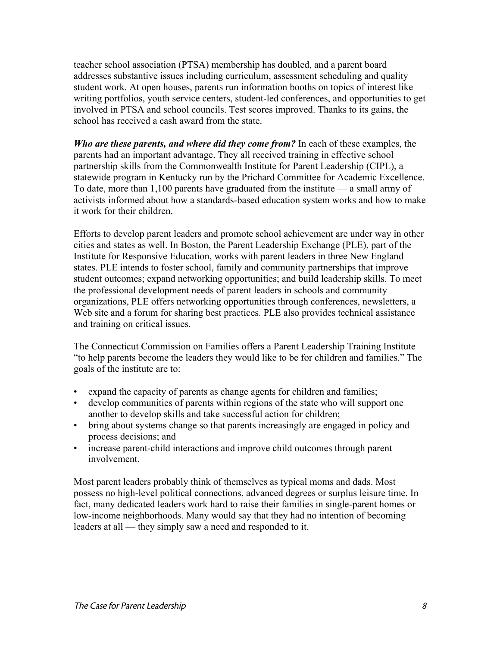teacher school association (PTSA) membership has doubled, and a parent board addresses substantive issues including curriculum, assessment scheduling and quality student work. At open houses, parents run information booths on topics of interest like writing portfolios, youth service centers, student-led conferences, and opportunities to get involved in PTSA and school councils. Test scores improved. Thanks to its gains, the school has received a cash award from the state.

*Who are these parents, and where did they come from?* In each of these examples, the parents had an important advantage. They all received training in effective school partnership skills from the Commonwealth Institute for Parent Leadership (CIPL), a statewide program in Kentucky run by the Prichard Committee for Academic Excellence. To date, more than 1,100 parents have graduated from the institute — a small army of activists informed about how a standards-based education system works and how to make it work for their children.

Efforts to develop parent leaders and promote school achievement are under way in other cities and states as well. In Boston, the Parent Leadership Exchange (PLE), part of the Institute for Responsive Education, works with parent leaders in three New England states. PLE intends to foster school, family and community partnerships that improve student outcomes; expand networking opportunities; and build leadership skills. To meet the professional development needs of parent leaders in schools and community organizations, PLE offers networking opportunities through conferences, newsletters, a Web site and a forum for sharing best practices. PLE also provides technical assistance and training on critical issues.

The Connecticut Commission on Families offers a Parent Leadership Training Institute "to help parents become the leaders they would like to be for children and families." The goals of the institute are to:

- expand the capacity of parents as change agents for children and families;
- develop communities of parents within regions of the state who will support one another to develop skills and take successful action for children;
- bring about systems change so that parents increasingly are engaged in policy and process decisions; and
- increase parent-child interactions and improve child outcomes through parent involvement.

Most parent leaders probably think of themselves as typical moms and dads. Most possess no high-level political connections, advanced degrees or surplus leisure time. In fact, many dedicated leaders work hard to raise their families in single-parent homes or low-income neighborhoods. Many would say that they had no intention of becoming leaders at all — they simply saw a need and responded to it.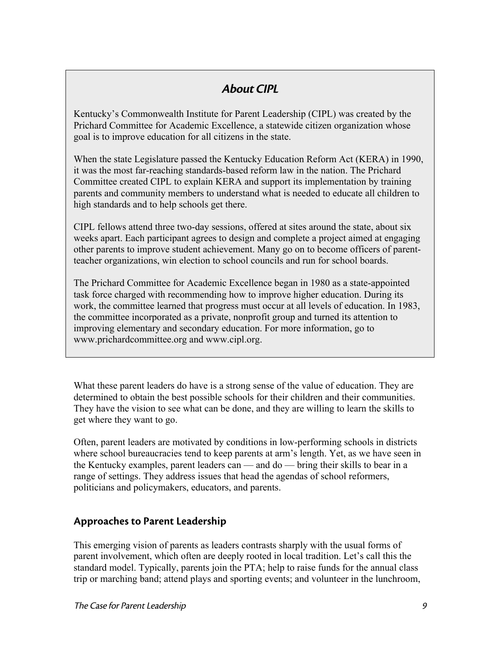## About CIPL

Kentucky's Commonwealth Institute for Parent Leadership (CIPL) was created by the Prichard Committee for Academic Excellence, a statewide citizen organization whose goal is to improve education for all citizens in the state.

When the state Legislature passed the Kentucky Education Reform Act (KERA) in 1990, it was the most far-reaching standards-based reform law in the nation. The Prichard Committee created CIPL to explain KERA and support its implementation by training parents and community members to understand what is needed to educate all children to high standards and to help schools get there.

CIPL fellows attend three two-day sessions, offered at sites around the state, about six weeks apart. Each participant agrees to design and complete a project aimed at engaging other parents to improve student achievement. Many go on to become officers of parentteacher organizations, win election to school councils and run for school boards.

The Prichard Committee for Academic Excellence began in 1980 as a state-appointed task force charged with recommending how to improve higher education. During its work, the committee learned that progress must occur at all levels of education. In 1983, the committee incorporated as a private, nonprofit group and turned its attention to improving elementary and secondary education. For more information, go to www.prichardcommittee.org and www.cipl.org.

What these parent leaders do have is a strong sense of the value of education. They are determined to obtain the best possible schools for their children and their communities. They have the vision to see what can be done, and they are willing to learn the skills to get where they want to go.

Often, parent leaders are motivated by conditions in low-performing schools in districts where school bureaucracies tend to keep parents at arm's length. Yet, as we have seen in the Kentucky examples, parent leaders can — and do — bring their skills to bear in a range of settings. They address issues that head the agendas of school reformers, politicians and policymakers, educators, and parents.

## Approaches to Parent Leadership

This emerging vision of parents as leaders contrasts sharply with the usual forms of parent involvement, which often are deeply rooted in local tradition. Let's call this the standard model. Typically, parents join the PTA; help to raise funds for the annual class trip or marching band; attend plays and sporting events; and volunteer in the lunchroom,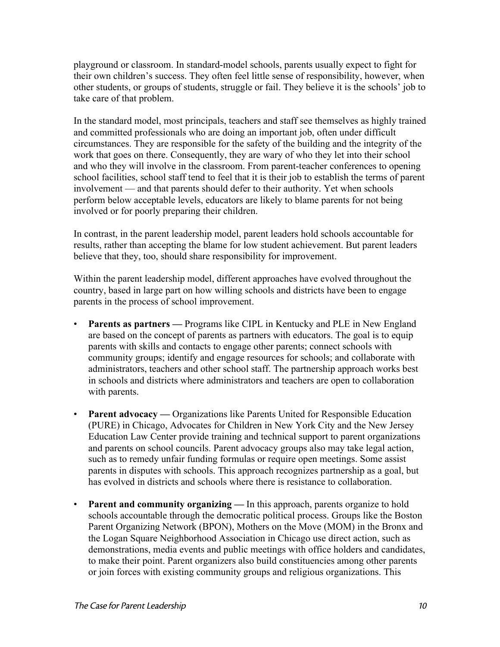playground or classroom. In standard-model schools, parents usually expect to fight for their own children's success. They often feel little sense of responsibility, however, when other students, or groups of students, struggle or fail. They believe it is the schools' job to take care of that problem.

In the standard model, most principals, teachers and staff see themselves as highly trained and committed professionals who are doing an important job, often under difficult circumstances. They are responsible for the safety of the building and the integrity of the work that goes on there. Consequently, they are wary of who they let into their school and who they will involve in the classroom. From parent-teacher conferences to opening school facilities, school staff tend to feel that it is their job to establish the terms of parent involvement — and that parents should defer to their authority. Yet when schools perform below acceptable levels, educators are likely to blame parents for not being involved or for poorly preparing their children.

In contrast, in the parent leadership model, parent leaders hold schools accountable for results, rather than accepting the blame for low student achievement. But parent leaders believe that they, too, should share responsibility for improvement.

Within the parent leadership model, different approaches have evolved throughout the country, based in large part on how willing schools and districts have been to engage parents in the process of school improvement.

- **Parents as partners** Programs like CIPL in Kentucky and PLE in New England are based on the concept of parents as partners with educators. The goal is to equip parents with skills and contacts to engage other parents; connect schools with community groups; identify and engage resources for schools; and collaborate with administrators, teachers and other school staff. The partnership approach works best in schools and districts where administrators and teachers are open to collaboration with parents.
- **Parent advocacy** Organizations like Parents United for Responsible Education (PURE) in Chicago, Advocates for Children in New York City and the New Jersey Education Law Center provide training and technical support to parent organizations and parents on school councils. Parent advocacy groups also may take legal action, such as to remedy unfair funding formulas or require open meetings. Some assist parents in disputes with schools. This approach recognizes partnership as a goal, but has evolved in districts and schools where there is resistance to collaboration.
- **Parent and community organizing** In this approach, parents organize to hold schools accountable through the democratic political process. Groups like the Boston Parent Organizing Network (BPON), Mothers on the Move (MOM) in the Bronx and the Logan Square Neighborhood Association in Chicago use direct action, such as demonstrations, media events and public meetings with office holders and candidates, to make their point. Parent organizers also build constituencies among other parents or join forces with existing community groups and religious organizations. This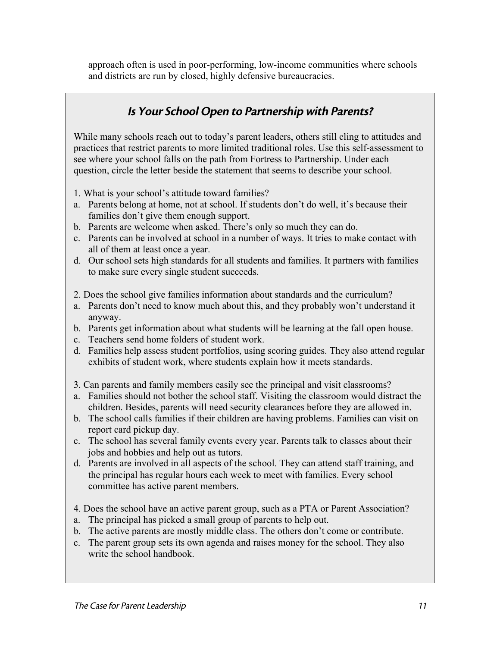approach often is used in poor-performing, low-income communities where schools and districts are run by closed, highly defensive bureaucracies.

## Is Your School Open to Partnership with Parents?

While many schools reach out to today's parent leaders, others still cling to attitudes and practices that restrict parents to more limited traditional roles. Use this self-assessment to see where your school falls on the path from Fortress to Partnership. Under each question, circle the letter beside the statement that seems to describe your school.

- 1. What is your school's attitude toward families?
- a. Parents belong at home, not at school. If students don't do well, it's because their families don't give them enough support.
- b. Parents are welcome when asked. There's only so much they can do.
- c. Parents can be involved at school in a number of ways. It tries to make contact with all of them at least once a year.
- d. Our school sets high standards for all students and families. It partners with families to make sure every single student succeeds.
- 2. Does the school give families information about standards and the curriculum?
- a. Parents don't need to know much about this, and they probably won't understand it anyway.
- b. Parents get information about what students will be learning at the fall open house.
- c. Teachers send home folders of student work.
- d. Families help assess student portfolios, using scoring guides. They also attend regular exhibits of student work, where students explain how it meets standards.
- 3. Can parents and family members easily see the principal and visit classrooms?
- a. Families should not bother the school staff. Visiting the classroom would distract the children. Besides, parents will need security clearances before they are allowed in.
- b. The school calls families if their children are having problems. Families can visit on report card pickup day.
- c. The school has several family events every year. Parents talk to classes about their jobs and hobbies and help out as tutors.
- d. Parents are involved in all aspects of the school. They can attend staff training, and the principal has regular hours each week to meet with families. Every school committee has active parent members.
- 4. Does the school have an active parent group, such as a PTA or Parent Association?
- a. The principal has picked a small group of parents to help out.
- b. The active parents are mostly middle class. The others don't come or contribute.
- c. The parent group sets its own agenda and raises money for the school. They also write the school handbook.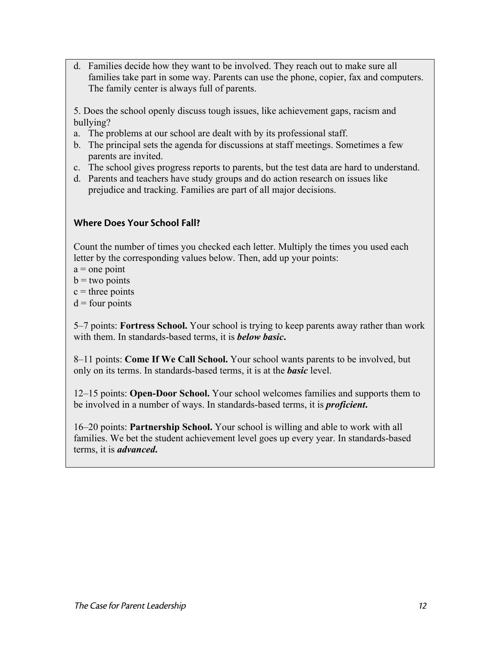d. Families decide how they want to be involved. They reach out to make sure all families take part in some way. Parents can use the phone, copier, fax and computers. The family center is always full of parents.

5. Does the school openly discuss tough issues, like achievement gaps, racism and bullying?

- a. The problems at our school are dealt with by its professional staff.
- b. The principal sets the agenda for discussions at staff meetings. Sometimes a few parents are invited.
- c. The school gives progress reports to parents, but the test data are hard to understand.
- d. Parents and teachers have study groups and do action research on issues like prejudice and tracking. Families are part of all major decisions.

#### Where Does Your School Fall?

Count the number of times you checked each letter. Multiply the times you used each letter by the corresponding values below. Then, add up your points:

- $a =$  one point
- $b = two points$
- $c =$  three points
- $d =$  four points

5–7 points: **Fortress School.** Your school is trying to keep parents away rather than work with them. In standards-based terms, it is *below basic***.**

8–11 points: **Come If We Call School.** Your school wants parents to be involved, but only on its terms. In standards-based terms, it is at the *basic* level.

12–15 points: **Open-Door School.** Your school welcomes families and supports them to be involved in a number of ways. In standards-based terms, it is *proficient***.**

16–20 points: **Partnership School.** Your school is willing and able to work with all families. We bet the student achievement level goes up every year. In standards-based terms, it is *advanced***.**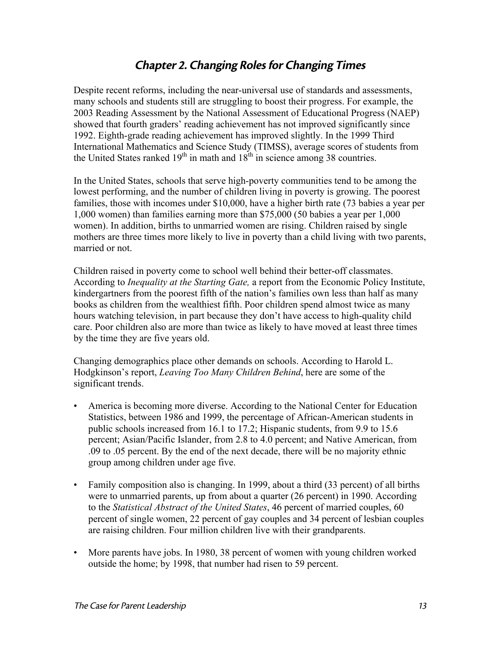## Chapter 2. Changing Roles for Changing Times

Despite recent reforms, including the near-universal use of standards and assessments, many schools and students still are struggling to boost their progress. For example, the 2003 Reading Assessment by the National Assessment of Educational Progress (NAEP) showed that fourth graders' reading achievement has not improved significantly since 1992. Eighth-grade reading achievement has improved slightly. In the 1999 Third International Mathematics and Science Study (TIMSS), average scores of students from the United States ranked  $19<sup>th</sup>$  in math and  $18<sup>th</sup>$  in science among 38 countries.

In the United States, schools that serve high-poverty communities tend to be among the lowest performing, and the number of children living in poverty is growing. The poorest families, those with incomes under \$10,000, have a higher birth rate (73 babies a year per 1,000 women) than families earning more than \$75,000 (50 babies a year per 1,000 women). In addition, births to unmarried women are rising. Children raised by single mothers are three times more likely to live in poverty than a child living with two parents, married or not.

Children raised in poverty come to school well behind their better-off classmates. According to *Inequality at the Starting Gate,* a report from the Economic Policy Institute, kindergartners from the poorest fifth of the nation's families own less than half as many books as children from the wealthiest fifth. Poor children spend almost twice as many hours watching television, in part because they don't have access to high-quality child care. Poor children also are more than twice as likely to have moved at least three times by the time they are five years old.

Changing demographics place other demands on schools. According to Harold L. Hodgkinson's report, *Leaving Too Many Children Behind*, here are some of the significant trends.

- America is becoming more diverse. According to the National Center for Education Statistics, between 1986 and 1999, the percentage of African-American students in public schools increased from 16.1 to 17.2; Hispanic students, from 9.9 to 15.6 percent; Asian/Pacific Islander, from 2.8 to 4.0 percent; and Native American, from .09 to .05 percent. By the end of the next decade, there will be no majority ethnic group among children under age five.
- Family composition also is changing. In 1999, about a third (33 percent) of all births were to unmarried parents, up from about a quarter (26 percent) in 1990. According to the *Statistical Abstract of the United States*, 46 percent of married couples, 60 percent of single women, 22 percent of gay couples and 34 percent of lesbian couples are raising children. Four million children live with their grandparents.
- More parents have jobs. In 1980, 38 percent of women with young children worked outside the home; by 1998, that number had risen to 59 percent.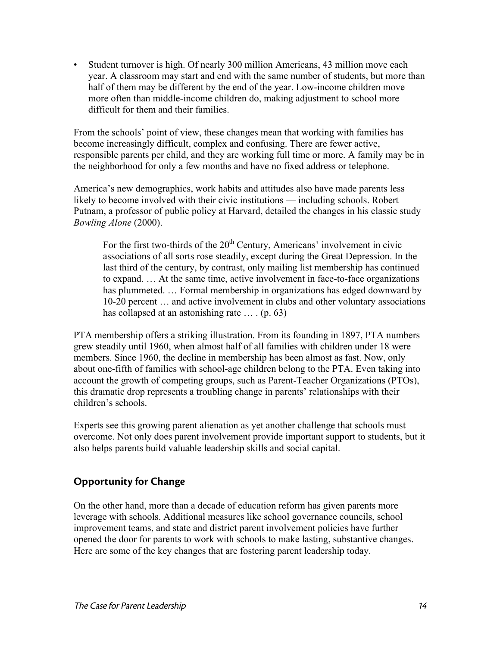• Student turnover is high. Of nearly 300 million Americans, 43 million move each year. A classroom may start and end with the same number of students, but more than half of them may be different by the end of the year. Low-income children move more often than middle-income children do, making adjustment to school more difficult for them and their families.

From the schools' point of view, these changes mean that working with families has become increasingly difficult, complex and confusing. There are fewer active, responsible parents per child, and they are working full time or more. A family may be in the neighborhood for only a few months and have no fixed address or telephone.

America's new demographics, work habits and attitudes also have made parents less likely to become involved with their civic institutions — including schools. Robert Putnam, a professor of public policy at Harvard, detailed the changes in his classic study *Bowling Alone* (2000).

For the first two-thirds of the  $20<sup>th</sup>$  Century, Americans' involvement in civic associations of all sorts rose steadily, except during the Great Depression. In the last third of the century, by contrast, only mailing list membership has continued to expand. … At the same time, active involvement in face-to-face organizations has plummeted. ... Formal membership in organizations has edged downward by 10-20 percent … and active involvement in clubs and other voluntary associations has collapsed at an astonishing rate ... . (p. 63)

PTA membership offers a striking illustration. From its founding in 1897, PTA numbers grew steadily until 1960, when almost half of all families with children under 18 were members. Since 1960, the decline in membership has been almost as fast. Now, only about one-fifth of families with school-age children belong to the PTA. Even taking into account the growth of competing groups, such as Parent-Teacher Organizations (PTOs), this dramatic drop represents a troubling change in parents' relationships with their children's schools.

Experts see this growing parent alienation as yet another challenge that schools must overcome. Not only does parent involvement provide important support to students, but it also helps parents build valuable leadership skills and social capital.

## Opportunity for Change

On the other hand, more than a decade of education reform has given parents more leverage with schools. Additional measures like school governance councils, school improvement teams, and state and district parent involvement policies have further opened the door for parents to work with schools to make lasting, substantive changes. Here are some of the key changes that are fostering parent leadership today.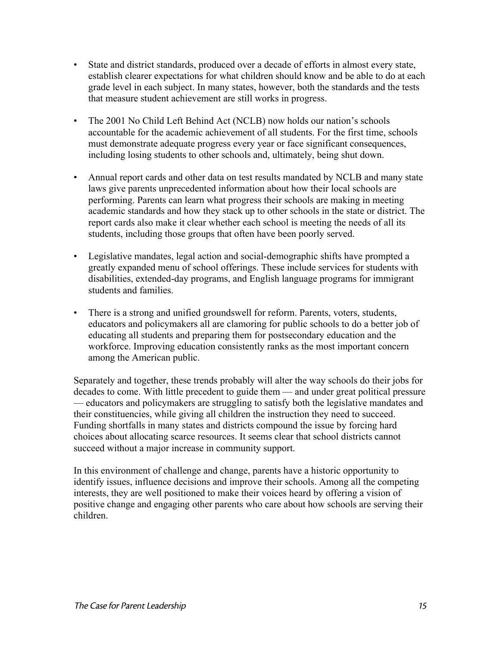- State and district standards, produced over a decade of efforts in almost every state, establish clearer expectations for what children should know and be able to do at each grade level in each subject. In many states, however, both the standards and the tests that measure student achievement are still works in progress.
- The 2001 No Child Left Behind Act (NCLB) now holds our nation's schools accountable for the academic achievement of all students. For the first time, schools must demonstrate adequate progress every year or face significant consequences, including losing students to other schools and, ultimately, being shut down.
- Annual report cards and other data on test results mandated by NCLB and many state laws give parents unprecedented information about how their local schools are performing. Parents can learn what progress their schools are making in meeting academic standards and how they stack up to other schools in the state or district. The report cards also make it clear whether each school is meeting the needs of all its students, including those groups that often have been poorly served.
- Legislative mandates, legal action and social-demographic shifts have prompted a greatly expanded menu of school offerings. These include services for students with disabilities, extended-day programs, and English language programs for immigrant students and families.
- There is a strong and unified groundswell for reform. Parents, voters, students, educators and policymakers all are clamoring for public schools to do a better job of educating all students and preparing them for postsecondary education and the workforce. Improving education consistently ranks as the most important concern among the American public.

Separately and together, these trends probably will alter the way schools do their jobs for decades to come. With little precedent to guide them — and under great political pressure — educators and policymakers are struggling to satisfy both the legislative mandates and their constituencies, while giving all children the instruction they need to succeed. Funding shortfalls in many states and districts compound the issue by forcing hard choices about allocating scarce resources. It seems clear that school districts cannot succeed without a major increase in community support.

In this environment of challenge and change, parents have a historic opportunity to identify issues, influence decisions and improve their schools. Among all the competing interests, they are well positioned to make their voices heard by offering a vision of positive change and engaging other parents who care about how schools are serving their children.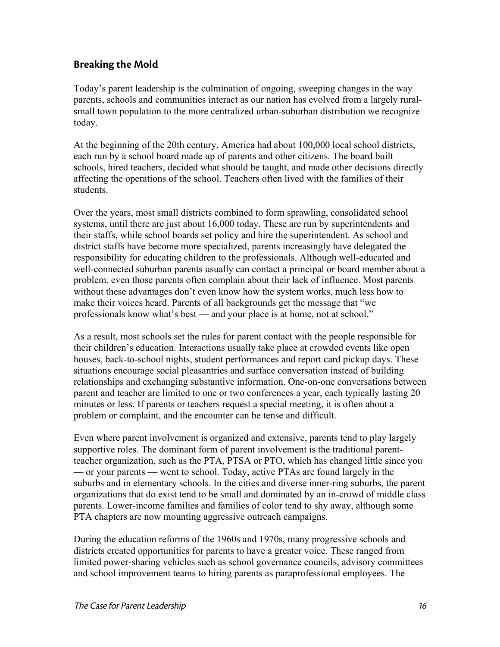#### Breaking the Mold

Today's parent leadership is the culmination of ongoing, sweeping changes in the way parents, schools and communities interact as our nation has evolved from a largely ruralsmall town population to the more centralized urban-suburban distribution we recognize today.

At the beginning of the 20th century, America had about 100,000 local school districts, each run by a school board made up of parents and other citizens. The board built schools, hired teachers, decided what should be taught, and made other decisions directly affecting the operations of the school. Teachers often lived with the families of their students.

Over the years, most small districts combined to form sprawling, consolidated school systems, until there are just about 16,000 today. These are run by superintendents and their staffs, while school boards set policy and hire the superintendent. As school and district staffs have become more specialized, parents increasingly have delegated the responsibility for educating children to the professionals. Although well-educated and well-connected suburban parents usually can contact a principal or board member about a problem, even those parents often complain about their lack of influence. Most parents without these advantages don't even know how the system works, much less how to make their voices heard. Parents of all backgrounds get the message that "we professionals know what's best — and your place is at home, not at school."

As a result, most schools set the rules for parent contact with the people responsible for their children's education. Interactions usually take place at crowded events like open houses, back-to-school nights, student performances and report card pickup days. These situations encourage social pleasantries and surface conversation instead of building relationships and exchanging substantive information. One-on-one conversations between parent and teacher are limited to one or two conferences a year, each typically lasting 20 minutes or less. If parents or teachers request a special meeting, it is often about a problem or complaint, and the encounter can be tense and difficult.

Even where parent involvement is organized and extensive, parents tend to play largely supportive roles. The dominant form of parent involvement is the traditional parentteacher organization, such as the PTA, PTSA or PTO, which has changed little since you — or your parents — went to school. Today, active PTAs are found largely in the suburbs and in elementary schools. In the cities and diverse inner-ring suburbs, the parent organizations that do exist tend to be small and dominated by an in-crowd of middle class parents. Lower-income families and families of color tend to shy away, although some PTA chapters are now mounting aggressive outreach campaigns.

During the education reforms of the 1960s and 1970s, many progressive schools and districts created opportunities for parents to have a greater voice. These ranged from limited power-sharing vehicles such as school governance councils, advisory committees and school improvement teams to hiring parents as paraprofessional employees. The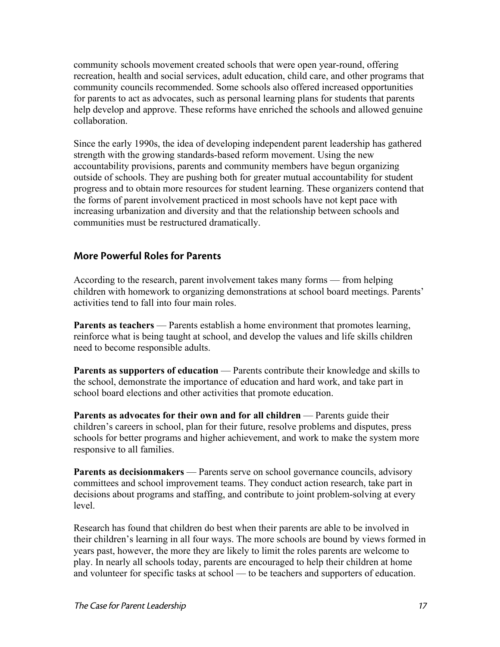community schools movement created schools that were open year-round, offering recreation, health and social services, adult education, child care, and other programs that community councils recommended. Some schools also offered increased opportunities for parents to act as advocates, such as personal learning plans for students that parents help develop and approve. These reforms have enriched the schools and allowed genuine collaboration.

Since the early 1990s, the idea of developing independent parent leadership has gathered strength with the growing standards-based reform movement. Using the new accountability provisions, parents and community members have begun organizing outside of schools. They are pushing both for greater mutual accountability for student progress and to obtain more resources for student learning. These organizers contend that the forms of parent involvement practiced in most schools have not kept pace with increasing urbanization and diversity and that the relationship between schools and communities must be restructured dramatically.

#### More Powerful Roles for Parents

According to the research, parent involvement takes many forms — from helping children with homework to organizing demonstrations at school board meetings. Parents' activities tend to fall into four main roles.

**Parents as teachers** — Parents establish a home environment that promotes learning, reinforce what is being taught at school, and develop the values and life skills children need to become responsible adults.

**Parents as supporters of education** — Parents contribute their knowledge and skills to the school, demonstrate the importance of education and hard work, and take part in school board elections and other activities that promote education.

**Parents as advocates for their own and for all children** — Parents guide their children's careers in school, plan for their future, resolve problems and disputes, press schools for better programs and higher achievement, and work to make the system more responsive to all families.

**Parents as decisionmakers** — Parents serve on school governance councils, advisory committees and school improvement teams. They conduct action research, take part in decisions about programs and staffing, and contribute to joint problem-solving at every level.

Research has found that children do best when their parents are able to be involved in their children's learning in all four ways. The more schools are bound by views formed in years past, however, the more they are likely to limit the roles parents are welcome to play. In nearly all schools today, parents are encouraged to help their children at home and volunteer for specific tasks at school — to be teachers and supporters of education.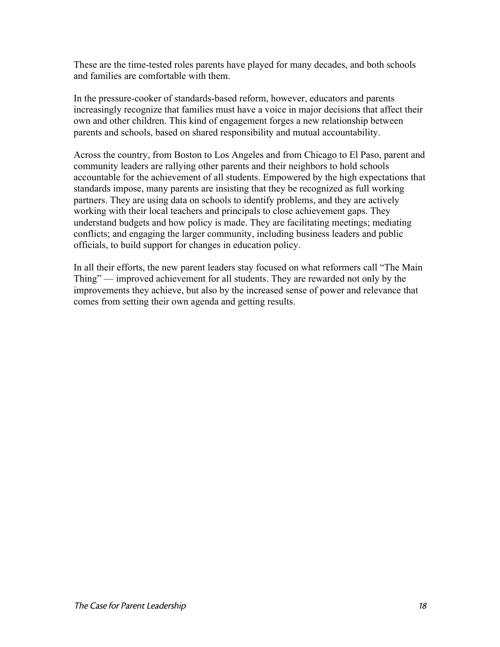These are the time-tested roles parents have played for many decades, and both schools and families are comfortable with them.

In the pressure-cooker of standards-based reform, however, educators and parents increasingly recognize that families must have a voice in major decisions that affect their own and other children. This kind of engagement forges a new relationship between parents and schools, based on shared responsibility and mutual accountability.

Across the country, from Boston to Los Angeles and from Chicago to El Paso, parent and community leaders are rallying other parents and their neighbors to hold schools accountable for the achievement of all students. Empowered by the high expectations that standards impose, many parents are insisting that they be recognized as full working partners. They are using data on schools to identify problems, and they are actively working with their local teachers and principals to close achievement gaps. They understand budgets and how policy is made. They are facilitating meetings; mediating conflicts; and engaging the larger community, including business leaders and public officials, to build support for changes in education policy.

In all their efforts, the new parent leaders stay focused on what reformers call "The Main Thing" — improved achievement for all students. They are rewarded not only by the improvements they achieve, but also by the increased sense of power and relevance that comes from setting their own agenda and getting results.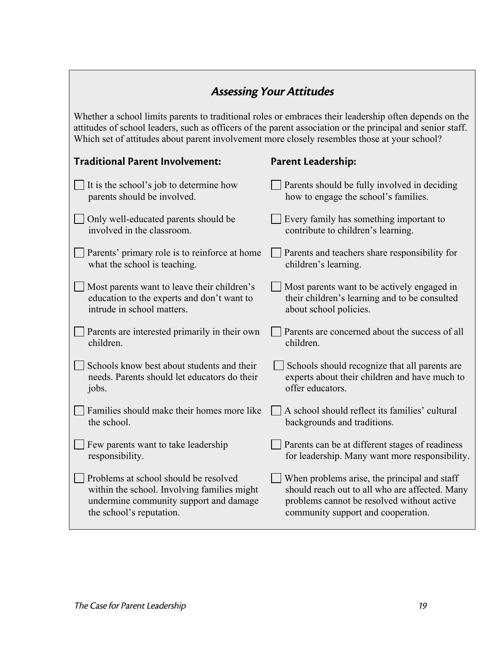## Assessing Your Attitudes

Whether a school limits parents to traditional roles or embraces their leadership often depends on the attitudes of school leaders, such as officers of the parent association or the principal and senior staff. Which set of attitudes about parent involvement more closely resembles those at your school?

## Traditional Parent Involvement:

## Parent Leadership:

| It is the school's job to determine how       | Parents should be fully involved in deciding    |
|-----------------------------------------------|-------------------------------------------------|
| parents should be involved.                   | how to engage the school's families.            |
| Only well-educated parents should be          | Every family has something important to         |
| involved in the classroom.                    | contribute to children's learning.              |
| Parents' primary role is to reinforce at home | Parents and teachers share responsibility for   |
| what the school is teaching.                  | children's learning.                            |
| Most parents want to leave their children's   | Most parents want to be actively engaged in     |
| education to the experts and don't want to    | their children's learning and to be consulted   |
| intrude in school matters.                    | about school policies.                          |
| Parents are interested primarily in their own | Parents are concerned about the success of all  |
| children.                                     | children.                                       |
| Schools know best about students and their    | Schools should recognize that all parents are   |
| needs. Parents should let educators do their  | experts about their children and have much to   |
| jobs.                                         | offer educators.                                |
| Families should make their homes more like    | A school should reflect its families' cultural  |
| the school.                                   | backgrounds and traditions.                     |
| Few parents want to take leadership           | Parents can be at different stages of readiness |
| responsibility.                               | for leadership. Many want more responsibility.  |
| Problems at school should be resolved         | When problems arise, the principal and staff    |
| within the school. Involving families might   | should reach out to all who are affected. Many  |
| undermine community support and damage        | problems cannot be resolved without active      |
| the school's reputation.                      | community support and cooperation.              |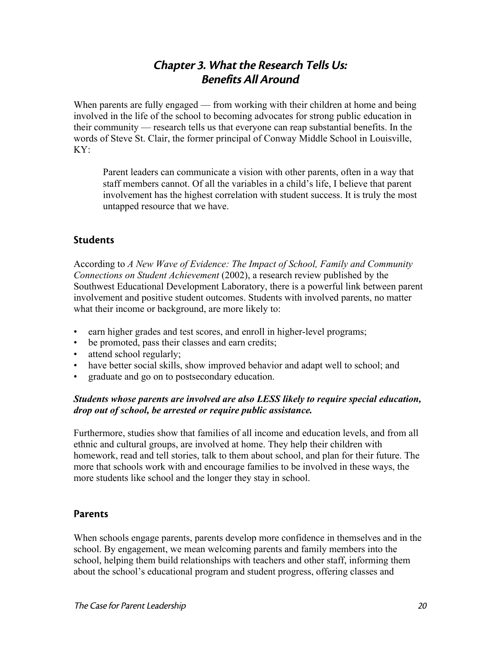## Chapter 3. What the Research Tells Us: Benefits All Around

When parents are fully engaged — from working with their children at home and being involved in the life of the school to becoming advocates for strong public education in their community — research tells us that everyone can reap substantial benefits. In the words of Steve St. Clair, the former principal of Conway Middle School in Louisville, KY:

Parent leaders can communicate a vision with other parents, often in a way that staff members cannot. Of all the variables in a child's life, I believe that parent involvement has the highest correlation with student success. It is truly the most untapped resource that we have.

#### **Students**

According to *A New Wave of Evidence: The Impact of School, Family and Community Connections on Student Achievement* (2002), a research review published by the Southwest Educational Development Laboratory, there is a powerful link between parent involvement and positive student outcomes. Students with involved parents, no matter what their income or background, are more likely to:

- earn higher grades and test scores, and enroll in higher-level programs;
- be promoted, pass their classes and earn credits;
- attend school regularly;
- have better social skills, show improved behavior and adapt well to school; and
- graduate and go on to postsecondary education.

#### *Students whose parents are involved are also LESS likely to require special education, drop out of school, be arrested or require public assistance.*

Furthermore, studies show that families of all income and education levels, and from all ethnic and cultural groups, are involved at home. They help their children with homework, read and tell stories, talk to them about school, and plan for their future. The more that schools work with and encourage families to be involved in these ways, the more students like school and the longer they stay in school.

#### **Parents**

When schools engage parents, parents develop more confidence in themselves and in the school. By engagement, we mean welcoming parents and family members into the school, helping them build relationships with teachers and other staff, informing them about the school's educational program and student progress, offering classes and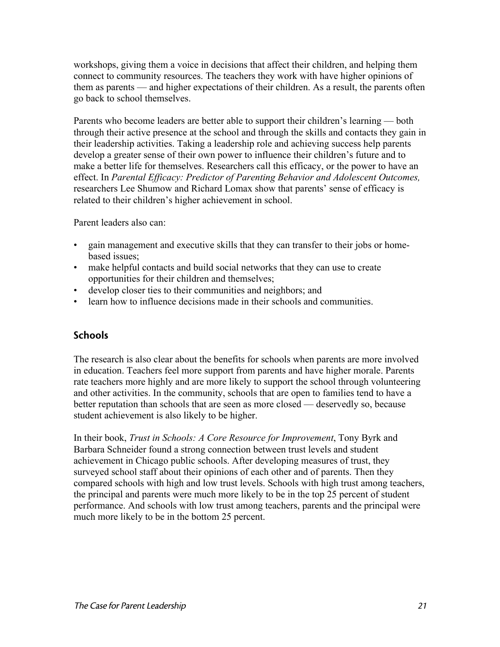workshops, giving them a voice in decisions that affect their children, and helping them connect to community resources. The teachers they work with have higher opinions of them as parents — and higher expectations of their children. As a result, the parents often go back to school themselves.

Parents who become leaders are better able to support their children's learning — both through their active presence at the school and through the skills and contacts they gain in their leadership activities. Taking a leadership role and achieving success help parents develop a greater sense of their own power to influence their children's future and to make a better life for themselves. Researchers call this efficacy, or the power to have an effect. In *Parental Efficacy: Predictor of Parenting Behavior and Adolescent Outcomes,* researchers Lee Shumow and Richard Lomax show that parents' sense of efficacy is related to their children's higher achievement in school.

Parent leaders also can:

- gain management and executive skills that they can transfer to their jobs or homebased issues;
- make helpful contacts and build social networks that they can use to create opportunities for their children and themselves;
- develop closer ties to their communities and neighbors; and
- learn how to influence decisions made in their schools and communities.

#### **Schools**

The research is also clear about the benefits for schools when parents are more involved in education. Teachers feel more support from parents and have higher morale. Parents rate teachers more highly and are more likely to support the school through volunteering and other activities. In the community, schools that are open to families tend to have a better reputation than schools that are seen as more closed — deservedly so, because student achievement is also likely to be higher.

In their book, *Trust in Schools: A Core Resource for Improvement*, Tony Byrk and Barbara Schneider found a strong connection between trust levels and student achievement in Chicago public schools. After developing measures of trust, they surveyed school staff about their opinions of each other and of parents. Then they compared schools with high and low trust levels. Schools with high trust among teachers, the principal and parents were much more likely to be in the top 25 percent of student performance. And schools with low trust among teachers, parents and the principal were much more likely to be in the bottom 25 percent.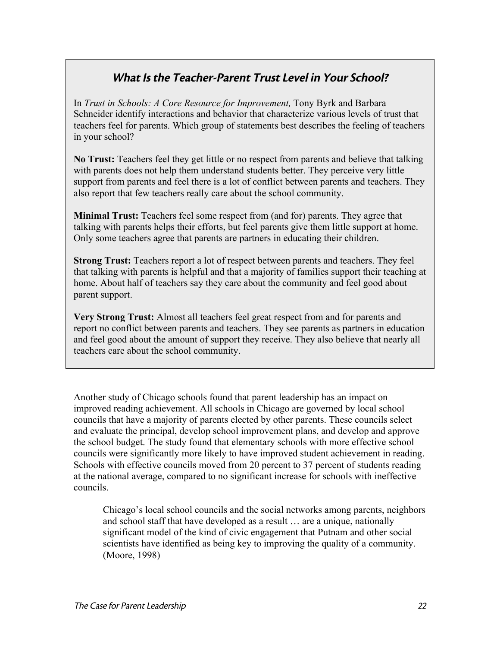## What Is the Teacher-Parent Trust Level in Your School?

In *Trust in Schools: A Core Resource for Improvement,* Tony Byrk and Barbara Schneider identify interactions and behavior that characterize various levels of trust that teachers feel for parents. Which group of statements best describes the feeling of teachers in your school?

**No Trust:** Teachers feel they get little or no respect from parents and believe that talking with parents does not help them understand students better. They perceive very little support from parents and feel there is a lot of conflict between parents and teachers. They also report that few teachers really care about the school community.

**Minimal Trust:** Teachers feel some respect from (and for) parents. They agree that talking with parents helps their efforts, but feel parents give them little support at home. Only some teachers agree that parents are partners in educating their children.

**Strong Trust:** Teachers report a lot of respect between parents and teachers. They feel that talking with parents is helpful and that a majority of families support their teaching at home. About half of teachers say they care about the community and feel good about parent support.

**Very Strong Trust:** Almost all teachers feel great respect from and for parents and report no conflict between parents and teachers. They see parents as partners in education and feel good about the amount of support they receive. They also believe that nearly all teachers care about the school community.

Another study of Chicago schools found that parent leadership has an impact on improved reading achievement. All schools in Chicago are governed by local school councils that have a majority of parents elected by other parents. These councils select and evaluate the principal, develop school improvement plans, and develop and approve the school budget. The study found that elementary schools with more effective school councils were significantly more likely to have improved student achievement in reading. Schools with effective councils moved from 20 percent to 37 percent of students reading at the national average, compared to no significant increase for schools with ineffective councils.

Chicago's local school councils and the social networks among parents, neighbors and school staff that have developed as a result … are a unique, nationally significant model of the kind of civic engagement that Putnam and other social scientists have identified as being key to improving the quality of a community. (Moore, 1998)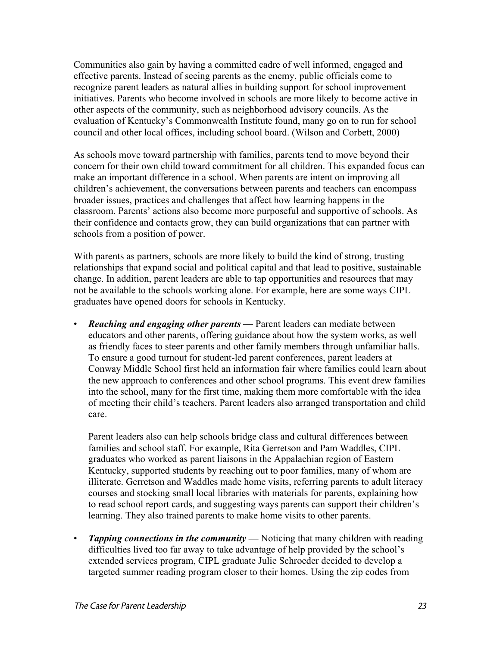Communities also gain by having a committed cadre of well informed, engaged and effective parents. Instead of seeing parents as the enemy, public officials come to recognize parent leaders as natural allies in building support for school improvement initiatives. Parents who become involved in schools are more likely to become active in other aspects of the community, such as neighborhood advisory councils. As the evaluation of Kentucky's Commonwealth Institute found, many go on to run for school council and other local offices, including school board. (Wilson and Corbett, 2000)

As schools move toward partnership with families, parents tend to move beyond their concern for their own child toward commitment for all children. This expanded focus can make an important difference in a school. When parents are intent on improving all children's achievement, the conversations between parents and teachers can encompass broader issues, practices and challenges that affect how learning happens in the classroom. Parents' actions also become more purposeful and supportive of schools. As their confidence and contacts grow, they can build organizations that can partner with schools from a position of power.

With parents as partners, schools are more likely to build the kind of strong, trusting relationships that expand social and political capital and that lead to positive, sustainable change. In addition, parent leaders are able to tap opportunities and resources that may not be available to the schools working alone. For example, here are some ways CIPL graduates have opened doors for schools in Kentucky.

• *Reaching and engaging other parents* **—** Parent leaders can mediate between educators and other parents, offering guidance about how the system works, as well as friendly faces to steer parents and other family members through unfamiliar halls. To ensure a good turnout for student-led parent conferences, parent leaders at Conway Middle School first held an information fair where families could learn about the new approach to conferences and other school programs. This event drew families into the school, many for the first time, making them more comfortable with the idea of meeting their child's teachers. Parent leaders also arranged transportation and child care.

Parent leaders also can help schools bridge class and cultural differences between families and school staff. For example, Rita Gerretson and Pam Waddles, CIPL graduates who worked as parent liaisons in the Appalachian region of Eastern Kentucky, supported students by reaching out to poor families, many of whom are illiterate. Gerretson and Waddles made home visits, referring parents to adult literacy courses and stocking small local libraries with materials for parents, explaining how to read school report cards, and suggesting ways parents can support their children's learning. They also trained parents to make home visits to other parents.

**Tapping connections in the community —** Noticing that many children with reading difficulties lived too far away to take advantage of help provided by the school's extended services program, CIPL graduate Julie Schroeder decided to develop a targeted summer reading program closer to their homes. Using the zip codes from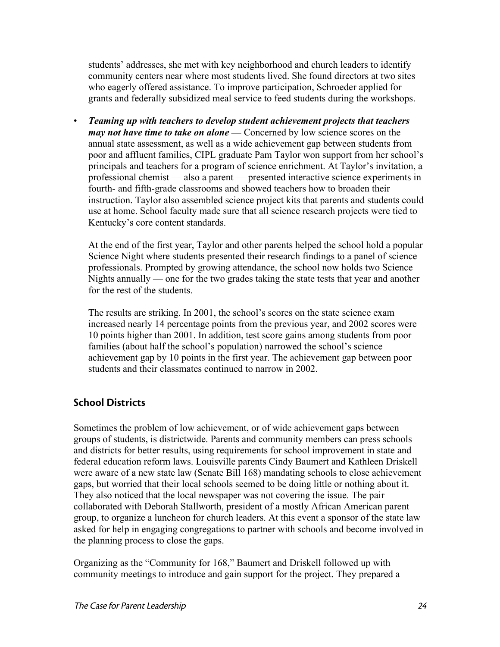students' addresses, she met with key neighborhood and church leaders to identify community centers near where most students lived. She found directors at two sites who eagerly offered assistance. To improve participation, Schroeder applied for grants and federally subsidized meal service to feed students during the workshops.

• *Teaming up with teachers to develop student achievement projects that teachers may not have time to take on alone* — Concerned by low science scores on the annual state assessment, as well as a wide achievement gap between students from poor and affluent families, CIPL graduate Pam Taylor won support from her school's principals and teachers for a program of science enrichment. At Taylor's invitation, a professional chemist — also a parent — presented interactive science experiments in fourth- and fifth-grade classrooms and showed teachers how to broaden their instruction. Taylor also assembled science project kits that parents and students could use at home. School faculty made sure that all science research projects were tied to Kentucky's core content standards.

At the end of the first year, Taylor and other parents helped the school hold a popular Science Night where students presented their research findings to a panel of science professionals. Prompted by growing attendance, the school now holds two Science Nights annually — one for the two grades taking the state tests that year and another for the rest of the students.

The results are striking. In 2001, the school's scores on the state science exam increased nearly 14 percentage points from the previous year, and 2002 scores were 10 points higher than 2001. In addition, test score gains among students from poor families (about half the school's population) narrowed the school's science achievement gap by 10 points in the first year. The achievement gap between poor students and their classmates continued to narrow in 2002.

## School Districts

Sometimes the problem of low achievement, or of wide achievement gaps between groups of students, is districtwide. Parents and community members can press schools and districts for better results, using requirements for school improvement in state and federal education reform laws. Louisville parents Cindy Baumert and Kathleen Driskell were aware of a new state law (Senate Bill 168) mandating schools to close achievement gaps, but worried that their local schools seemed to be doing little or nothing about it. They also noticed that the local newspaper was not covering the issue. The pair collaborated with Deborah Stallworth, president of a mostly African American parent group, to organize a luncheon for church leaders. At this event a sponsor of the state law asked for help in engaging congregations to partner with schools and become involved in the planning process to close the gaps.

Organizing as the "Community for 168," Baumert and Driskell followed up with community meetings to introduce and gain support for the project. They prepared a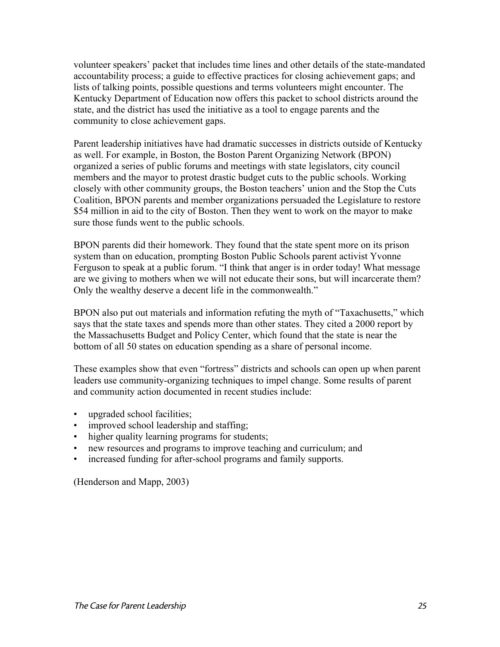volunteer speakers' packet that includes time lines and other details of the state-mandated accountability process; a guide to effective practices for closing achievement gaps; and lists of talking points, possible questions and terms volunteers might encounter. The Kentucky Department of Education now offers this packet to school districts around the state, and the district has used the initiative as a tool to engage parents and the community to close achievement gaps.

Parent leadership initiatives have had dramatic successes in districts outside of Kentucky as well. For example, in Boston, the Boston Parent Organizing Network (BPON) organized a series of public forums and meetings with state legislators, city council members and the mayor to protest drastic budget cuts to the public schools. Working closely with other community groups, the Boston teachers' union and the Stop the Cuts Coalition, BPON parents and member organizations persuaded the Legislature to restore \$54 million in aid to the city of Boston. Then they went to work on the mayor to make sure those funds went to the public schools.

BPON parents did their homework. They found that the state spent more on its prison system than on education, prompting Boston Public Schools parent activist Yvonne Ferguson to speak at a public forum. "I think that anger is in order today! What message are we giving to mothers when we will not educate their sons, but will incarcerate them? Only the wealthy deserve a decent life in the commonwealth."

BPON also put out materials and information refuting the myth of "Taxachusetts," which says that the state taxes and spends more than other states. They cited a 2000 report by the Massachusetts Budget and Policy Center, which found that the state is near the bottom of all 50 states on education spending as a share of personal income.

These examples show that even "fortress" districts and schools can open up when parent leaders use community-organizing techniques to impel change. Some results of parent and community action documented in recent studies include:

- upgraded school facilities;
- improved school leadership and staffing;
- higher quality learning programs for students;
- new resources and programs to improve teaching and curriculum; and
- increased funding for after-school programs and family supports.

(Henderson and Mapp, 2003)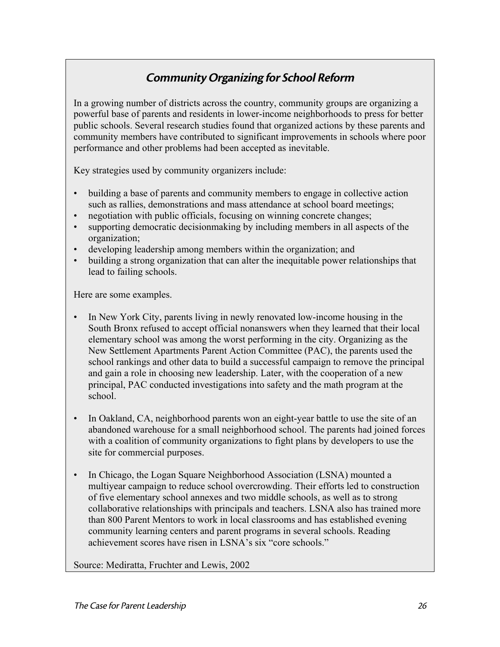## Community Organizing for School Reform

In a growing number of districts across the country, community groups are organizing a powerful base of parents and residents in lower-income neighborhoods to press for better public schools. Several research studies found that organized actions by these parents and community members have contributed to significant improvements in schools where poor performance and other problems had been accepted as inevitable.

Key strategies used by community organizers include:

- building a base of parents and community members to engage in collective action such as rallies, demonstrations and mass attendance at school board meetings;
- negotiation with public officials, focusing on winning concrete changes;
- supporting democratic decisionmaking by including members in all aspects of the organization;
- developing leadership among members within the organization; and
- building a strong organization that can alter the inequitable power relationships that lead to failing schools.

Here are some examples.

- In New York City, parents living in newly renovated low-income housing in the South Bronx refused to accept official nonanswers when they learned that their local elementary school was among the worst performing in the city. Organizing as the New Settlement Apartments Parent Action Committee (PAC), the parents used the school rankings and other data to build a successful campaign to remove the principal and gain a role in choosing new leadership. Later, with the cooperation of a new principal, PAC conducted investigations into safety and the math program at the school.
- In Oakland, CA, neighborhood parents won an eight-year battle to use the site of an abandoned warehouse for a small neighborhood school. The parents had joined forces with a coalition of community organizations to fight plans by developers to use the site for commercial purposes.
- In Chicago, the Logan Square Neighborhood Association (LSNA) mounted a multiyear campaign to reduce school overcrowding. Their efforts led to construction of five elementary school annexes and two middle schools, as well as to strong collaborative relationships with principals and teachers. LSNA also has trained more than 800 Parent Mentors to work in local classrooms and has established evening community learning centers and parent programs in several schools. Reading achievement scores have risen in LSNA's six "core schools."

Source: Mediratta, Fruchter and Lewis, 2002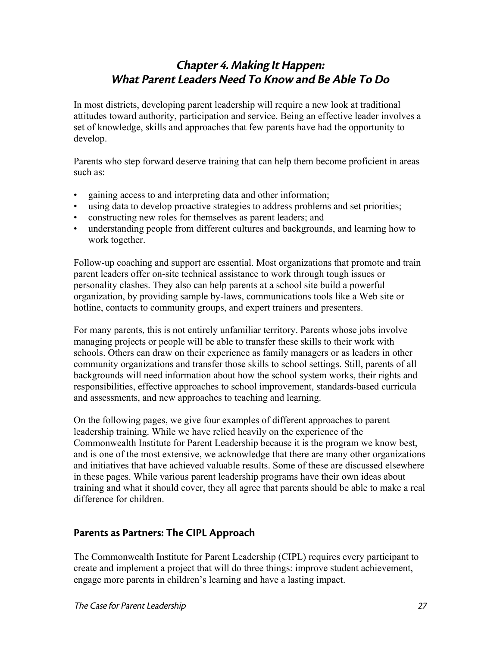## Chapter 4. Making It Happen: What Parent Leaders Need To Know and Be Able To Do

In most districts, developing parent leadership will require a new look at traditional attitudes toward authority, participation and service. Being an effective leader involves a set of knowledge, skills and approaches that few parents have had the opportunity to develop.

Parents who step forward deserve training that can help them become proficient in areas such as:

- gaining access to and interpreting data and other information;
- using data to develop proactive strategies to address problems and set priorities;
- constructing new roles for themselves as parent leaders; and
- understanding people from different cultures and backgrounds, and learning how to work together.

Follow-up coaching and support are essential. Most organizations that promote and train parent leaders offer on-site technical assistance to work through tough issues or personality clashes. They also can help parents at a school site build a powerful organization, by providing sample by-laws, communications tools like a Web site or hotline, contacts to community groups, and expert trainers and presenters.

For many parents, this is not entirely unfamiliar territory. Parents whose jobs involve managing projects or people will be able to transfer these skills to their work with schools. Others can draw on their experience as family managers or as leaders in other community organizations and transfer those skills to school settings. Still, parents of all backgrounds will need information about how the school system works, their rights and responsibilities, effective approaches to school improvement, standards-based curricula and assessments, and new approaches to teaching and learning.

On the following pages, we give four examples of different approaches to parent leadership training. While we have relied heavily on the experience of the Commonwealth Institute for Parent Leadership because it is the program we know best, and is one of the most extensive, we acknowledge that there are many other organizations and initiatives that have achieved valuable results. Some of these are discussed elsewhere in these pages. While various parent leadership programs have their own ideas about training and what it should cover, they all agree that parents should be able to make a real difference for children.

## Parents as Partners: The CIPL Approach

The Commonwealth Institute for Parent Leadership (CIPL) requires every participant to create and implement a project that will do three things: improve student achievement, engage more parents in children's learning and have a lasting impact.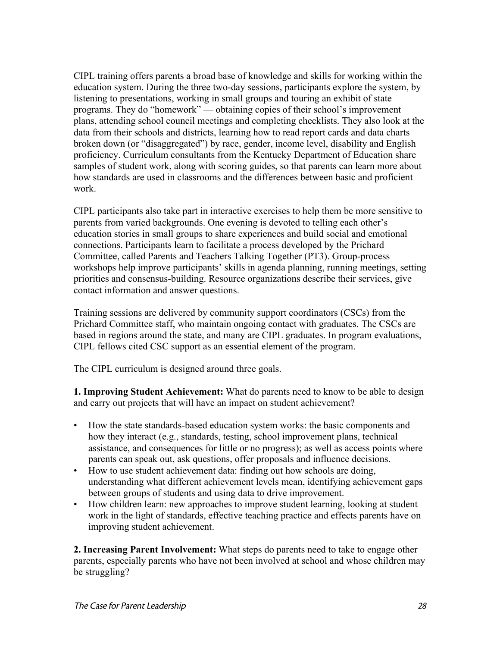CIPL training offers parents a broad base of knowledge and skills for working within the education system. During the three two-day sessions, participants explore the system, by listening to presentations, working in small groups and touring an exhibit of state programs. They do "homework" — obtaining copies of their school's improvement plans, attending school council meetings and completing checklists. They also look at the data from their schools and districts, learning how to read report cards and data charts broken down (or "disaggregated") by race, gender, income level, disability and English proficiency. Curriculum consultants from the Kentucky Department of Education share samples of student work, along with scoring guides, so that parents can learn more about how standards are used in classrooms and the differences between basic and proficient work.

CIPL participants also take part in interactive exercises to help them be more sensitive to parents from varied backgrounds. One evening is devoted to telling each other's education stories in small groups to share experiences and build social and emotional connections. Participants learn to facilitate a process developed by the Prichard Committee, called Parents and Teachers Talking Together (PT3). Group-process workshops help improve participants' skills in agenda planning, running meetings, setting priorities and consensus-building. Resource organizations describe their services, give contact information and answer questions.

Training sessions are delivered by community support coordinators (CSCs) from the Prichard Committee staff, who maintain ongoing contact with graduates. The CSCs are based in regions around the state, and many are CIPL graduates. In program evaluations, CIPL fellows cited CSC support as an essential element of the program.

The CIPL curriculum is designed around three goals.

**1. Improving Student Achievement:** What do parents need to know to be able to design and carry out projects that will have an impact on student achievement?

- How the state standards-based education system works: the basic components and how they interact (e.g., standards, testing, school improvement plans, technical assistance, and consequences for little or no progress); as well as access points where parents can speak out, ask questions, offer proposals and influence decisions.
- How to use student achievement data: finding out how schools are doing, understanding what different achievement levels mean, identifying achievement gaps between groups of students and using data to drive improvement.
- How children learn: new approaches to improve student learning, looking at student work in the light of standards, effective teaching practice and effects parents have on improving student achievement.

**2. Increasing Parent Involvement:** What steps do parents need to take to engage other parents, especially parents who have not been involved at school and whose children may be struggling?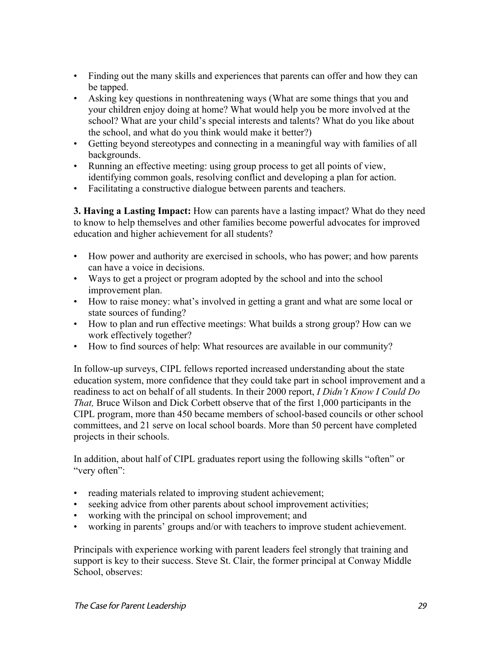- Finding out the many skills and experiences that parents can offer and how they can be tapped.
- Asking key questions in nonthreatening ways (What are some things that you and your children enjoy doing at home? What would help you be more involved at the school? What are your child's special interests and talents? What do you like about the school, and what do you think would make it better?)
- Getting beyond stereotypes and connecting in a meaningful way with families of all backgrounds.
- Running an effective meeting: using group process to get all points of view, identifying common goals, resolving conflict and developing a plan for action.
- Facilitating a constructive dialogue between parents and teachers.

**3. Having a Lasting Impact:** How can parents have a lasting impact? What do they need to know to help themselves and other families become powerful advocates for improved education and higher achievement for all students?

- How power and authority are exercised in schools, who has power; and how parents can have a voice in decisions.
- Ways to get a project or program adopted by the school and into the school improvement plan.
- How to raise money: what's involved in getting a grant and what are some local or state sources of funding?
- How to plan and run effective meetings: What builds a strong group? How can we work effectively together?
- How to find sources of help: What resources are available in our community?

In follow-up surveys, CIPL fellows reported increased understanding about the state education system, more confidence that they could take part in school improvement and a readiness to act on behalf of all students. In their 2000 report, *I Didn't Know I Could Do That,* Bruce Wilson and Dick Corbett observe that of the first 1,000 participants in the CIPL program, more than 450 became members of school-based councils or other school committees, and 21 serve on local school boards. More than 50 percent have completed projects in their schools.

In addition, about half of CIPL graduates report using the following skills "often" or "very often":

- reading materials related to improving student achievement;
- seeking advice from other parents about school improvement activities;
- working with the principal on school improvement; and
- working in parents' groups and/or with teachers to improve student achievement.

Principals with experience working with parent leaders feel strongly that training and support is key to their success. Steve St. Clair, the former principal at Conway Middle School, observes: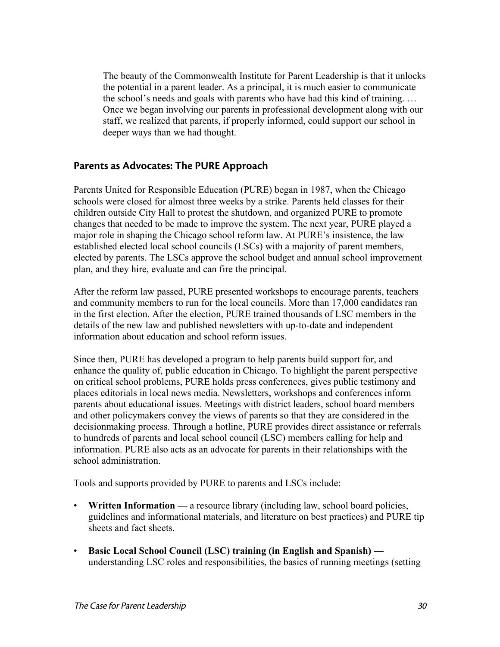The beauty of the Commonwealth Institute for Parent Leadership is that it unlocks the potential in a parent leader. As a principal, it is much easier to communicate the school's needs and goals with parents who have had this kind of training. … Once we began involving our parents in professional development along with our staff, we realized that parents, if properly informed, could support our school in deeper ways than we had thought.

#### Parents as Advocates: The PURE Approach

Parents United for Responsible Education (PURE) began in 1987, when the Chicago schools were closed for almost three weeks by a strike. Parents held classes for their children outside City Hall to protest the shutdown, and organized PURE to promote changes that needed to be made to improve the system. The next year, PURE played a major role in shaping the Chicago school reform law. At PURE's insistence, the law established elected local school councils (LSCs) with a majority of parent members, elected by parents. The LSCs approve the school budget and annual school improvement plan, and they hire, evaluate and can fire the principal.

After the reform law passed, PURE presented workshops to encourage parents, teachers and community members to run for the local councils. More than 17,000 candidates ran in the first election. After the election, PURE trained thousands of LSC members in the details of the new law and published newsletters with up-to-date and independent information about education and school reform issues.

Since then, PURE has developed a program to help parents build support for, and enhance the quality of, public education in Chicago. To highlight the parent perspective on critical school problems, PURE holds press conferences, gives public testimony and places editorials in local news media. Newsletters, workshops and conferences inform parents about educational issues. Meetings with district leaders, school board members and other policymakers convey the views of parents so that they are considered in the decisionmaking process. Through a hotline, PURE provides direct assistance or referrals to hundreds of parents and local school council (LSC) members calling for help and information. PURE also acts as an advocate for parents in their relationships with the school administration.

Tools and supports provided by PURE to parents and LSCs include:

- **Written Information** a resource library (including law, school board policies, guidelines and informational materials, and literature on best practices) and PURE tip sheets and fact sheets.
- **Basic Local School Council (LSC) training (in English and Spanish)**  understanding LSC roles and responsibilities, the basics of running meetings (setting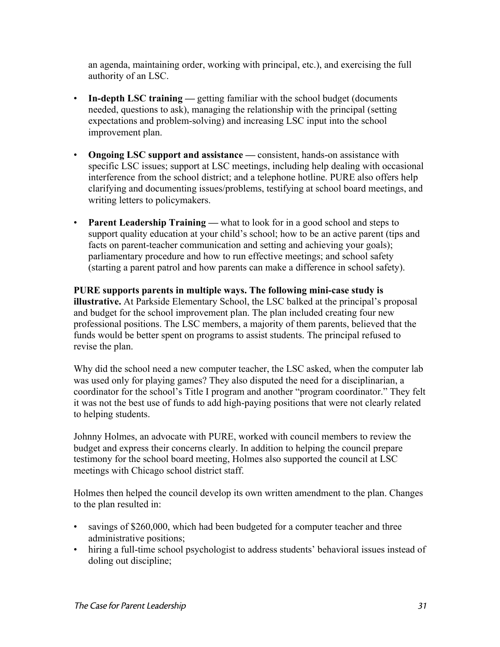an agenda, maintaining order, working with principal, etc.), and exercising the full authority of an LSC.

- **In-depth LSC training** getting familiar with the school budget (documents needed, questions to ask), managing the relationship with the principal (setting expectations and problem-solving) and increasing LSC input into the school improvement plan.
- **Ongoing LSC support and assistance** consistent, hands-on assistance with specific LSC issues; support at LSC meetings, including help dealing with occasional interference from the school district; and a telephone hotline. PURE also offers help clarifying and documenting issues/problems, testifying at school board meetings, and writing letters to policymakers.
- **Parent Leadership Training** what to look for in a good school and steps to support quality education at your child's school; how to be an active parent (tips and facts on parent-teacher communication and setting and achieving your goals); parliamentary procedure and how to run effective meetings; and school safety (starting a parent patrol and how parents can make a difference in school safety).

**PURE supports parents in multiple ways. The following mini-case study is illustrative.** At Parkside Elementary School, the LSC balked at the principal's proposal and budget for the school improvement plan. The plan included creating four new professional positions. The LSC members, a majority of them parents, believed that the funds would be better spent on programs to assist students. The principal refused to revise the plan.

Why did the school need a new computer teacher, the LSC asked, when the computer lab was used only for playing games? They also disputed the need for a disciplinarian, a coordinator for the school's Title I program and another "program coordinator." They felt it was not the best use of funds to add high-paying positions that were not clearly related to helping students.

Johnny Holmes, an advocate with PURE, worked with council members to review the budget and express their concerns clearly. In addition to helping the council prepare testimony for the school board meeting, Holmes also supported the council at LSC meetings with Chicago school district staff.

Holmes then helped the council develop its own written amendment to the plan. Changes to the plan resulted in:

- savings of \$260,000, which had been budgeted for a computer teacher and three administrative positions;
- hiring a full-time school psychologist to address students' behavioral issues instead of doling out discipline;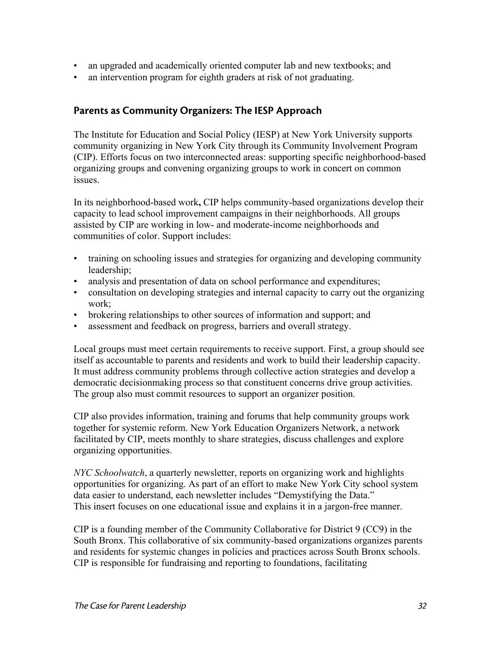- an upgraded and academically oriented computer lab and new textbooks; and
- an intervention program for eighth graders at risk of not graduating.

#### Parents as Community Organizers: The IESP Approach

The Institute for Education and Social Policy (IESP) at New York University supports community organizing in New York City through its Community Involvement Program (CIP). Efforts focus on two interconnected areas: supporting specific neighborhood-based organizing groups and convening organizing groups to work in concert on common issues.

In its neighborhood-based work**,** CIP helps community-based organizations develop their capacity to lead school improvement campaigns in their neighborhoods. All groups assisted by CIP are working in low- and moderate-income neighborhoods and communities of color. Support includes:

- training on schooling issues and strategies for organizing and developing community leadership;
- analysis and presentation of data on school performance and expenditures;
- consultation on developing strategies and internal capacity to carry out the organizing work;
- brokering relationships to other sources of information and support; and
- assessment and feedback on progress, barriers and overall strategy.

Local groups must meet certain requirements to receive support. First, a group should see itself as accountable to parents and residents and work to build their leadership capacity. It must address community problems through collective action strategies and develop a democratic decisionmaking process so that constituent concerns drive group activities. The group also must commit resources to support an organizer position.

CIP also provides information, training and forums that help community groups work together for systemic reform. New York Education Organizers Network, a network facilitated by CIP, meets monthly to share strategies, discuss challenges and explore organizing opportunities.

*NYC Schoolwatch*, a quarterly newsletter, reports on organizing work and highlights opportunities for organizing. As part of an effort to make New York City school system data easier to understand, each newsletter includes "Demystifying the Data." This insert focuses on one educational issue and explains it in a jargon-free manner.

CIP is a founding member of the Community Collaborative for District 9 (CC9) in the South Bronx. This collaborative of six community-based organizations organizes parents and residents for systemic changes in policies and practices across South Bronx schools. CIP is responsible for fundraising and reporting to foundations, facilitating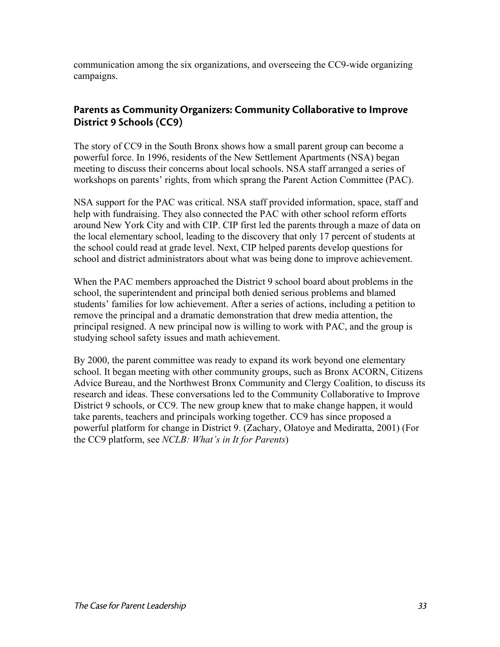communication among the six organizations, and overseeing the CC9-wide organizing campaigns.

#### Parents as Community Organizers: Community Collaborative to Improve District 9 Schools (CC9)

The story of CC9 in the South Bronx shows how a small parent group can become a powerful force. In 1996, residents of the New Settlement Apartments (NSA) began meeting to discuss their concerns about local schools. NSA staff arranged a series of workshops on parents' rights, from which sprang the Parent Action Committee (PAC).

NSA support for the PAC was critical. NSA staff provided information, space, staff and help with fundraising. They also connected the PAC with other school reform efforts around New York City and with CIP. CIP first led the parents through a maze of data on the local elementary school, leading to the discovery that only 17 percent of students at the school could read at grade level. Next, CIP helped parents develop questions for school and district administrators about what was being done to improve achievement.

When the PAC members approached the District 9 school board about problems in the school, the superintendent and principal both denied serious problems and blamed students' families for low achievement. After a series of actions, including a petition to remove the principal and a dramatic demonstration that drew media attention, the principal resigned. A new principal now is willing to work with PAC, and the group is studying school safety issues and math achievement.

By 2000, the parent committee was ready to expand its work beyond one elementary school. It began meeting with other community groups, such as Bronx ACORN, Citizens Advice Bureau, and the Northwest Bronx Community and Clergy Coalition, to discuss its research and ideas. These conversations led to the Community Collaborative to Improve District 9 schools, or CC9. The new group knew that to make change happen, it would take parents, teachers and principals working together. CC9 has since proposed a powerful platform for change in District 9. (Zachary, Olatoye and Mediratta, 2001) (For the CC9 platform, see *NCLB: What's in It for Parents*)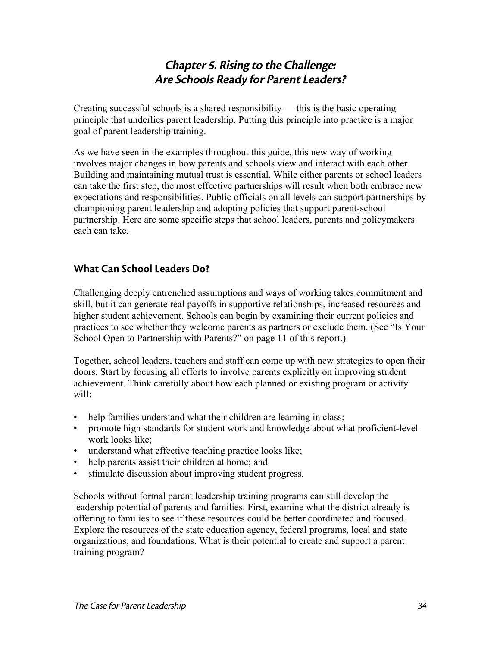## Chapter 5. Rising to the Challenge: Are Schools Ready for Parent Leaders?

Creating successful schools is a shared responsibility — this is the basic operating principle that underlies parent leadership. Putting this principle into practice is a major goal of parent leadership training.

As we have seen in the examples throughout this guide, this new way of working involves major changes in how parents and schools view and interact with each other. Building and maintaining mutual trust is essential. While either parents or school leaders can take the first step, the most effective partnerships will result when both embrace new expectations and responsibilities. Public officials on all levels can support partnerships by championing parent leadership and adopting policies that support parent-school partnership. Here are some specific steps that school leaders, parents and policymakers each can take.

## What Can School Leaders Do?

Challenging deeply entrenched assumptions and ways of working takes commitment and skill, but it can generate real payoffs in supportive relationships, increased resources and higher student achievement. Schools can begin by examining their current policies and practices to see whether they welcome parents as partners or exclude them. (See "Is Your School Open to Partnership with Parents?" on page 11 of this report.)

Together, school leaders, teachers and staff can come up with new strategies to open their doors. Start by focusing all efforts to involve parents explicitly on improving student achievement. Think carefully about how each planned or existing program or activity will:

- help families understand what their children are learning in class;
- promote high standards for student work and knowledge about what proficient-level work looks like;
- understand what effective teaching practice looks like:
- help parents assist their children at home; and
- stimulate discussion about improving student progress.

Schools without formal parent leadership training programs can still develop the leadership potential of parents and families. First, examine what the district already is offering to families to see if these resources could be better coordinated and focused. Explore the resources of the state education agency, federal programs, local and state organizations, and foundations. What is their potential to create and support a parent training program?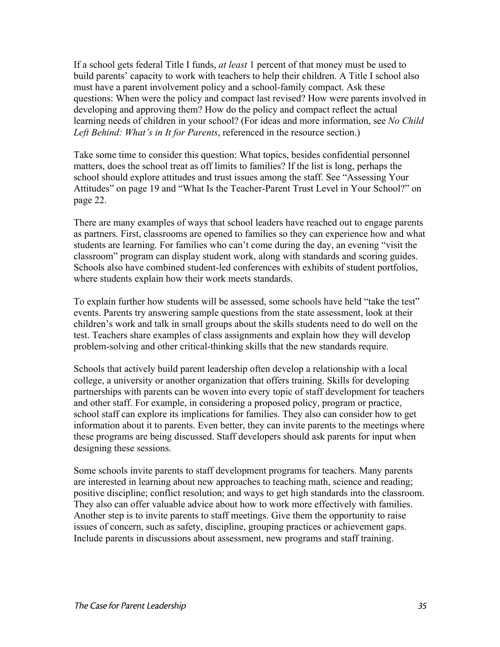If a school gets federal Title I funds, *at least* 1 percent of that money must be used to build parents' capacity to work with teachers to help their children. A Title I school also must have a parent involvement policy and a school-family compact. Ask these questions: When were the policy and compact last revised? How were parents involved in developing and approving them? How do the policy and compact reflect the actual learning needs of children in your school? (For ideas and more information, see *No Child Left Behind: What's in It for Parents*, referenced in the resource section.)

Take some time to consider this question: What topics, besides confidential personnel matters, does the school treat as off limits to families? If the list is long, perhaps the school should explore attitudes and trust issues among the staff. See "Assessing Your Attitudes" on page 19 and "What Is the Teacher-Parent Trust Level in Your School?" on page 22.

There are many examples of ways that school leaders have reached out to engage parents as partners. First, classrooms are opened to families so they can experience how and what students are learning. For families who can't come during the day, an evening "visit the classroom" program can display student work, along with standards and scoring guides. Schools also have combined student-led conferences with exhibits of student portfolios, where students explain how their work meets standards.

To explain further how students will be assessed, some schools have held "take the test" events. Parents try answering sample questions from the state assessment, look at their children's work and talk in small groups about the skills students need to do well on the test. Teachers share examples of class assignments and explain how they will develop problem-solving and other critical-thinking skills that the new standards require.

Schools that actively build parent leadership often develop a relationship with a local college, a university or another organization that offers training. Skills for developing partnerships with parents can be woven into every topic of staff development for teachers and other staff. For example, in considering a proposed policy, program or practice, school staff can explore its implications for families. They also can consider how to get information about it to parents. Even better, they can invite parents to the meetings where these programs are being discussed. Staff developers should ask parents for input when designing these sessions.

Some schools invite parents to staff development programs for teachers. Many parents are interested in learning about new approaches to teaching math, science and reading; positive discipline; conflict resolution; and ways to get high standards into the classroom. They also can offer valuable advice about how to work more effectively with families. Another step is to invite parents to staff meetings. Give them the opportunity to raise issues of concern, such as safety, discipline, grouping practices or achievement gaps. Include parents in discussions about assessment, new programs and staff training.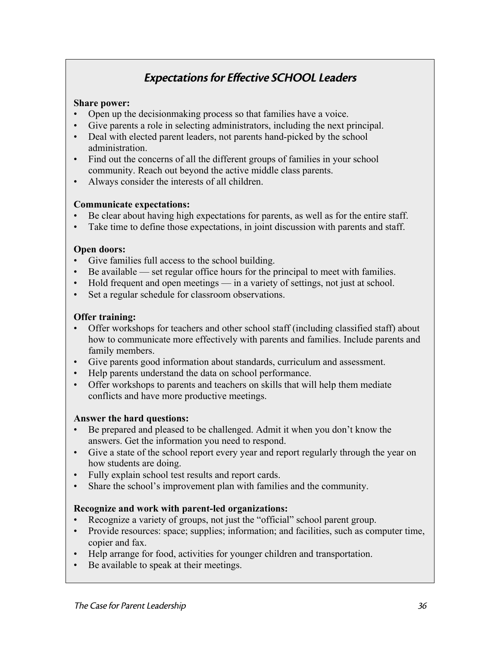## Expectations for Effective SCHOOL Leaders

#### **Share power:**

- Open up the decisionmaking process so that families have a voice.
- Give parents a role in selecting administrators, including the next principal.
- Deal with elected parent leaders, not parents hand-picked by the school administration.
- Find out the concerns of all the different groups of families in your school community. Reach out beyond the active middle class parents.
- Always consider the interests of all children.

#### **Communicate expectations:**

- Be clear about having high expectations for parents, as well as for the entire staff.
- Take time to define those expectations, in joint discussion with parents and staff.

#### **Open doors:**

- Give families full access to the school building.
- Be available set regular office hours for the principal to meet with families.
- Hold frequent and open meetings in a variety of settings, not just at school.
- Set a regular schedule for classroom observations.

#### **Offer training:**

- Offer workshops for teachers and other school staff (including classified staff) about how to communicate more effectively with parents and families. Include parents and family members.
- Give parents good information about standards, curriculum and assessment.
- Help parents understand the data on school performance.
- Offer workshops to parents and teachers on skills that will help them mediate conflicts and have more productive meetings.

#### **Answer the hard questions:**

- Be prepared and pleased to be challenged. Admit it when you don't know the answers. Get the information you need to respond.
- Give a state of the school report every year and report regularly through the year on how students are doing.
- Fully explain school test results and report cards.
- Share the school's improvement plan with families and the community.

#### **Recognize and work with parent-led organizations:**

- Recognize a variety of groups, not just the "official" school parent group.
- Provide resources: space; supplies; information; and facilities, such as computer time, copier and fax.
- Help arrange for food, activities for younger children and transportation.
- Be available to speak at their meetings.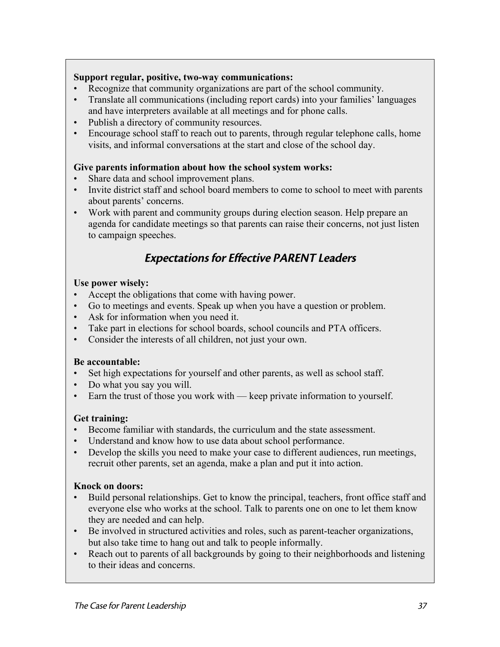#### **Support regular, positive, two-way communications:**

- Recognize that community organizations are part of the school community.
- Translate all communications (including report cards) into your families' languages and have interpreters available at all meetings and for phone calls.
- Publish a directory of community resources.
- Encourage school staff to reach out to parents, through regular telephone calls, home visits, and informal conversations at the start and close of the school day.

#### **Give parents information about how the school system works:**

- Share data and school improvement plans.
- Invite district staff and school board members to come to school to meet with parents about parents' concerns.
- Work with parent and community groups during election season. Help prepare an agenda for candidate meetings so that parents can raise their concerns, not just listen to campaign speeches.

## Expectations for Effective PARENT Leaders

#### **Use power wisely:**

- Accept the obligations that come with having power.
- Go to meetings and events. Speak up when you have a question or problem.
- Ask for information when you need it.
- Take part in elections for school boards, school councils and PTA officers.
- Consider the interests of all children, not just your own.

#### **Be accountable:**

- Set high expectations for yourself and other parents, as well as school staff.
- Do what you say you will.
- Earn the trust of those you work with keep private information to yourself.

#### **Get training:**

- Become familiar with standards, the curriculum and the state assessment.
- Understand and know how to use data about school performance.
- Develop the skills you need to make your case to different audiences, run meetings, recruit other parents, set an agenda, make a plan and put it into action.

#### **Knock on doors:**

- Build personal relationships. Get to know the principal, teachers, front office staff and everyone else who works at the school. Talk to parents one on one to let them know they are needed and can help.
- Be involved in structured activities and roles, such as parent-teacher organizations, but also take time to hang out and talk to people informally.
- Reach out to parents of all backgrounds by going to their neighborhoods and listening to their ideas and concerns.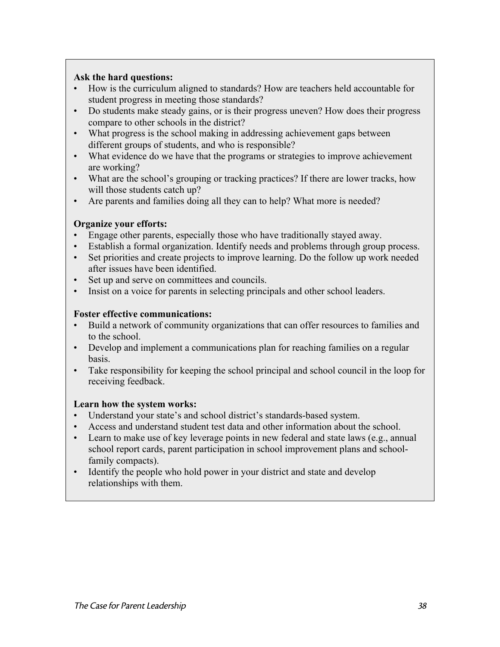#### **Ask the hard questions:**

- How is the curriculum aligned to standards? How are teachers held accountable for student progress in meeting those standards?
- Do students make steady gains, or is their progress uneven? How does their progress compare to other schools in the district?
- What progress is the school making in addressing achievement gaps between different groups of students, and who is responsible?
- What evidence do we have that the programs or strategies to improve achievement are working?
- What are the school's grouping or tracking practices? If there are lower tracks, how will those students catch up?
- Are parents and families doing all they can to help? What more is needed?

#### **Organize your efforts:**

- Engage other parents, especially those who have traditionally stayed away.
- Establish a formal organization. Identify needs and problems through group process.
- Set priorities and create projects to improve learning. Do the follow up work needed after issues have been identified.
- Set up and serve on committees and councils.
- Insist on a voice for parents in selecting principals and other school leaders.

#### **Foster effective communications:**

- Build a network of community organizations that can offer resources to families and to the school.
- Develop and implement a communications plan for reaching families on a regular basis.
- Take responsibility for keeping the school principal and school council in the loop for receiving feedback.

#### **Learn how the system works:**

- Understand your state's and school district's standards-based system.
- Access and understand student test data and other information about the school.
- Learn to make use of key leverage points in new federal and state laws (e.g., annual school report cards, parent participation in school improvement plans and schoolfamily compacts).
- Identify the people who hold power in your district and state and develop relationships with them.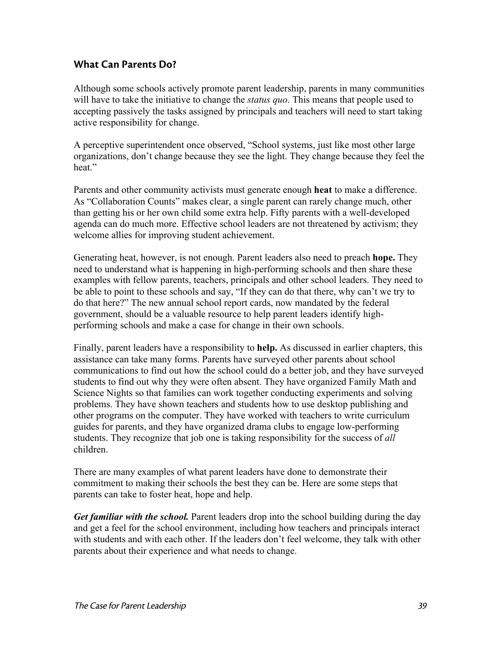#### What Can Parents Do?

Although some schools actively promote parent leadership, parents in many communities will have to take the initiative to change the *status quo*. This means that people used to accepting passively the tasks assigned by principals and teachers will need to start taking active responsibility for change.

A perceptive superintendent once observed, "School systems, just like most other large organizations, don't change because they see the light. They change because they feel the heat."

Parents and other community activists must generate enough **heat** to make a difference. As "Collaboration Counts" makes clear, a single parent can rarely change much, other than getting his or her own child some extra help. Fifty parents with a well-developed agenda can do much more. Effective school leaders are not threatened by activism; they welcome allies for improving student achievement.

Generating heat, however, is not enough. Parent leaders also need to preach **hope.** They need to understand what is happening in high-performing schools and then share these examples with fellow parents, teachers, principals and other school leaders. They need to be able to point to these schools and say, "If they can do that there, why can't we try to do that here?" The new annual school report cards, now mandated by the federal government, should be a valuable resource to help parent leaders identify highperforming schools and make a case for change in their own schools.

Finally, parent leaders have a responsibility to **help.** As discussed in earlier chapters, this assistance can take many forms. Parents have surveyed other parents about school communications to find out how the school could do a better job, and they have surveyed students to find out why they were often absent. They have organized Family Math and Science Nights so that families can work together conducting experiments and solving problems. They have shown teachers and students how to use desktop publishing and other programs on the computer. They have worked with teachers to write curriculum guides for parents, and they have organized drama clubs to engage low-performing students. They recognize that job one is taking responsibility for the success of *all* children.

There are many examples of what parent leaders have done to demonstrate their commitment to making their schools the best they can be. Here are some steps that parents can take to foster heat, hope and help.

*Get familiar with the school.* Parent leaders drop into the school building during the day and get a feel for the school environment, including how teachers and principals interact with students and with each other. If the leaders don't feel welcome, they talk with other parents about their experience and what needs to change.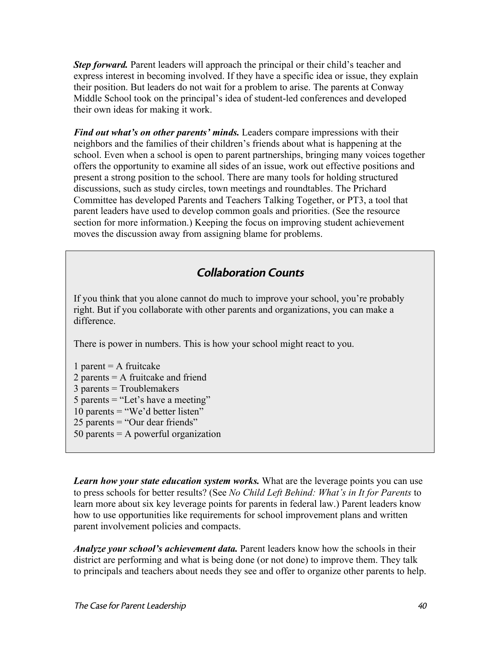*Step forward.* Parent leaders will approach the principal or their child's teacher and express interest in becoming involved. If they have a specific idea or issue, they explain their position. But leaders do not wait for a problem to arise. The parents at Conway Middle School took on the principal's idea of student-led conferences and developed their own ideas for making it work.

*Find out what's on other parents' minds.* Leaders compare impressions with their neighbors and the families of their children's friends about what is happening at the school. Even when a school is open to parent partnerships, bringing many voices together offers the opportunity to examine all sides of an issue, work out effective positions and present a strong position to the school. There are many tools for holding structured discussions, such as study circles, town meetings and roundtables. The Prichard Committee has developed Parents and Teachers Talking Together, or PT3, a tool that parent leaders have used to develop common goals and priorities. (See the resource section for more information.) Keeping the focus on improving student achievement moves the discussion away from assigning blame for problems.

## Collaboration Counts

If you think that you alone cannot do much to improve your school, you're probably right. But if you collaborate with other parents and organizations, you can make a difference.

There is power in numbers. This is how your school might react to you.

1 parent  $= A$  fruitcake 2 parents = A fruitcake and friend 3 parents = Troublemakers 5 parents = "Let's have a meeting" 10 parents  $=$  "We'd better listen" 25 parents = "Our dear friends"

50 parents  $=$  A powerful organization

*Learn how your state education system works.* What are the leverage points you can use to press schools for better results? (See *No Child Left Behind: What's in It for Parents* to learn more about six key leverage points for parents in federal law.) Parent leaders know how to use opportunities like requirements for school improvement plans and written parent involvement policies and compacts.

*Analyze your school's achievement data.* Parent leaders know how the schools in their district are performing and what is being done (or not done) to improve them. They talk to principals and teachers about needs they see and offer to organize other parents to help.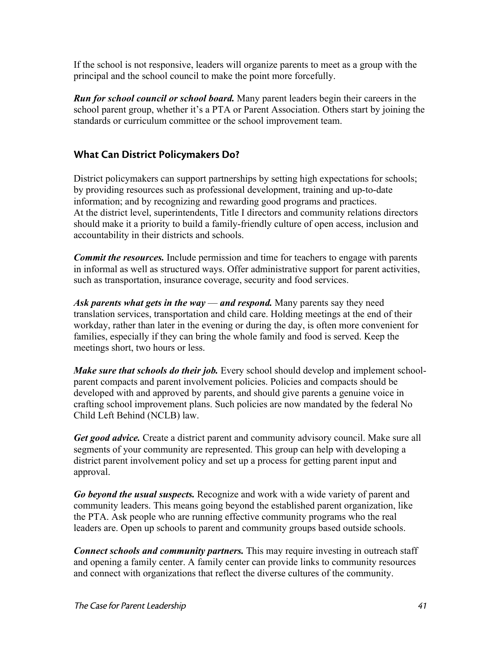If the school is not responsive, leaders will organize parents to meet as a group with the principal and the school council to make the point more forcefully.

*Run for school council or school board.* Many parent leaders begin their careers in the school parent group, whether it's a PTA or Parent Association. Others start by joining the standards or curriculum committee or the school improvement team.

## What Can District Policymakers Do?

District policymakers can support partnerships by setting high expectations for schools; by providing resources such as professional development, training and up-to-date information; and by recognizing and rewarding good programs and practices. At the district level, superintendents, Title I directors and community relations directors should make it a priority to build a family-friendly culture of open access, inclusion and accountability in their districts and schools.

*Commit the resources.* Include permission and time for teachers to engage with parents in informal as well as structured ways. Offer administrative support for parent activities, such as transportation, insurance coverage, security and food services.

*Ask parents what gets in the way* — *and respond.* Many parents say they need translation services, transportation and child care. Holding meetings at the end of their workday, rather than later in the evening or during the day, is often more convenient for families, especially if they can bring the whole family and food is served. Keep the meetings short, two hours or less.

*Make sure that schools do their job.* Every school should develop and implement schoolparent compacts and parent involvement policies. Policies and compacts should be developed with and approved by parents, and should give parents a genuine voice in crafting school improvement plans. Such policies are now mandated by the federal No Child Left Behind (NCLB) law.

*Get good advice.* Create a district parent and community advisory council. Make sure all segments of your community are represented. This group can help with developing a district parent involvement policy and set up a process for getting parent input and approval.

*Go beyond the usual suspects.* Recognize and work with a wide variety of parent and community leaders. This means going beyond the established parent organization, like the PTA. Ask people who are running effective community programs who the real leaders are. Open up schools to parent and community groups based outside schools.

*Connect schools and community partners.* This may require investing in outreach staff and opening a family center. A family center can provide links to community resources and connect with organizations that reflect the diverse cultures of the community.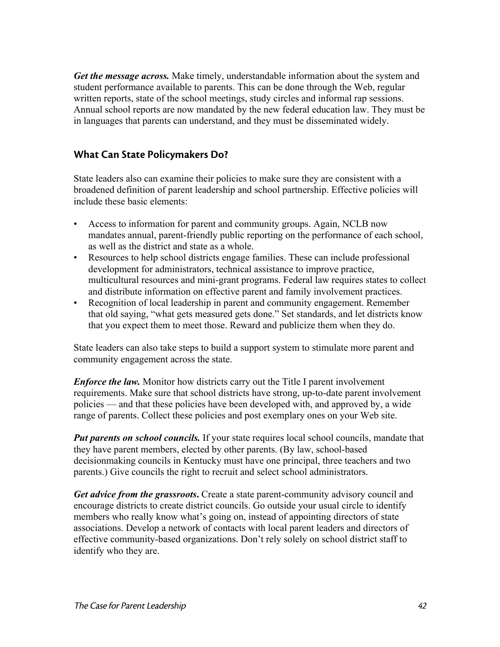*Get the message across.* Make timely, understandable information about the system and student performance available to parents. This can be done through the Web, regular written reports, state of the school meetings, study circles and informal rap sessions. Annual school reports are now mandated by the new federal education law. They must be in languages that parents can understand, and they must be disseminated widely.

#### What Can State Policymakers Do?

State leaders also can examine their policies to make sure they are consistent with a broadened definition of parent leadership and school partnership. Effective policies will include these basic elements:

- Access to information for parent and community groups. Again, NCLB now mandates annual, parent-friendly public reporting on the performance of each school, as well as the district and state as a whole.
- Resources to help school districts engage families. These can include professional development for administrators, technical assistance to improve practice, multicultural resources and mini-grant programs. Federal law requires states to collect and distribute information on effective parent and family involvement practices.
- Recognition of local leadership in parent and community engagement. Remember that old saying, "what gets measured gets done." Set standards, and let districts know that you expect them to meet those. Reward and publicize them when they do.

State leaders can also take steps to build a support system to stimulate more parent and community engagement across the state.

*Enforce the law.* Monitor how districts carry out the Title I parent involvement requirements. Make sure that school districts have strong, up-to-date parent involvement policies — and that these policies have been developed with, and approved by, a wide range of parents. Collect these policies and post exemplary ones on your Web site.

*Put parents on school councils.* If your state requires local school councils, mandate that they have parent members, elected by other parents. (By law, school-based decisionmaking councils in Kentucky must have one principal, three teachers and two parents.) Give councils the right to recruit and select school administrators.

*Get advice from the grassroots***.** Create a state parent-community advisory council and encourage districts to create district councils. Go outside your usual circle to identify members who really know what's going on, instead of appointing directors of state associations. Develop a network of contacts with local parent leaders and directors of effective community-based organizations. Don't rely solely on school district staff to identify who they are.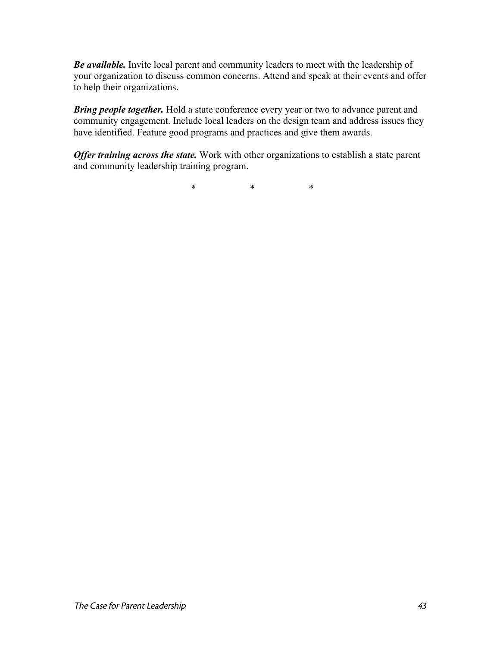*Be available.* Invite local parent and community leaders to meet with the leadership of your organization to discuss common concerns. Attend and speak at their events and offer to help their organizations.

*Bring people together.* Hold a state conference every year or two to advance parent and community engagement. Include local leaders on the design team and address issues they have identified. Feature good programs and practices and give them awards.

*Offer training across the state.* Work with other organizations to establish a state parent and community leadership training program.

\* \* \*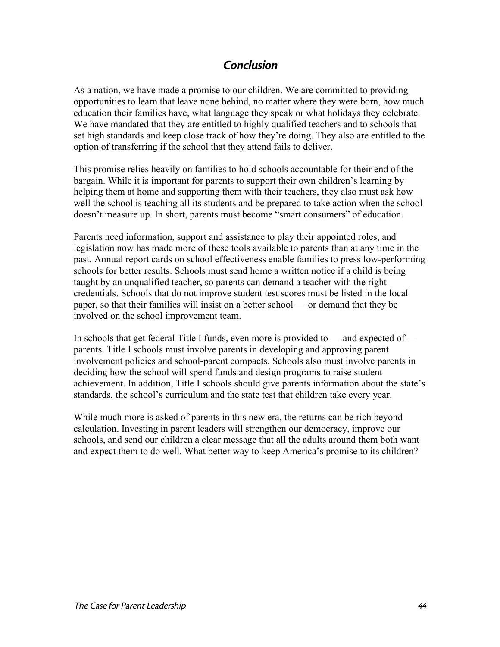## Conclusion

As a nation, we have made a promise to our children. We are committed to providing opportunities to learn that leave none behind, no matter where they were born, how much education their families have, what language they speak or what holidays they celebrate. We have mandated that they are entitled to highly qualified teachers and to schools that set high standards and keep close track of how they're doing. They also are entitled to the option of transferring if the school that they attend fails to deliver.

This promise relies heavily on families to hold schools accountable for their end of the bargain. While it is important for parents to support their own children's learning by helping them at home and supporting them with their teachers, they also must ask how well the school is teaching all its students and be prepared to take action when the school doesn't measure up. In short, parents must become "smart consumers" of education.

Parents need information, support and assistance to play their appointed roles, and legislation now has made more of these tools available to parents than at any time in the past. Annual report cards on school effectiveness enable families to press low-performing schools for better results. Schools must send home a written notice if a child is being taught by an unqualified teacher, so parents can demand a teacher with the right credentials. Schools that do not improve student test scores must be listed in the local paper, so that their families will insist on a better school — or demand that they be involved on the school improvement team.

In schools that get federal Title I funds, even more is provided to — and expected of parents. Title I schools must involve parents in developing and approving parent involvement policies and school-parent compacts. Schools also must involve parents in deciding how the school will spend funds and design programs to raise student achievement. In addition, Title I schools should give parents information about the state's standards, the school's curriculum and the state test that children take every year.

While much more is asked of parents in this new era, the returns can be rich beyond calculation. Investing in parent leaders will strengthen our democracy, improve our schools, and send our children a clear message that all the adults around them both want and expect them to do well. What better way to keep America's promise to its children?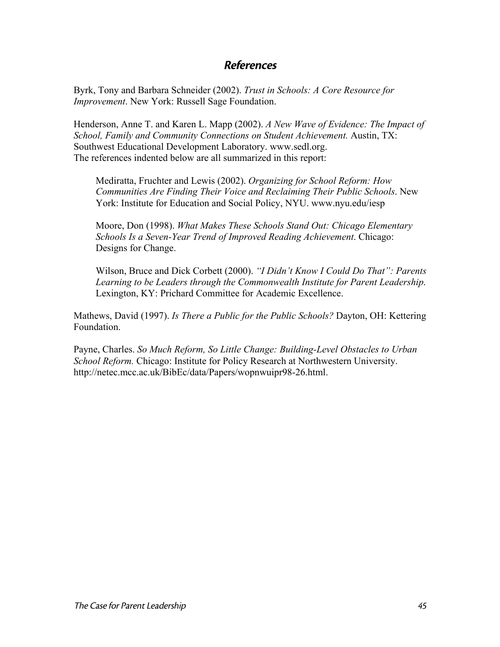#### References

Byrk, Tony and Barbara Schneider (2002). *Trust in Schools: A Core Resource for Improvement*. New York: Russell Sage Foundation.

Henderson, Anne T. and Karen L. Mapp (2002). *A New Wave of Evidence: The Impact of School, Family and Community Connections on Student Achievement.* Austin, TX: Southwest Educational Development Laboratory. www.sedl.org. The references indented below are all summarized in this report:

Mediratta, Fruchter and Lewis (2002). *Organizing for School Reform: How Communities Are Finding Their Voice and Reclaiming Their Public Schools*. New York: Institute for Education and Social Policy, NYU. www.nyu.edu/iesp

Moore, Don (1998). *What Makes These Schools Stand Out: Chicago Elementary Schools Is a Seven-Year Trend of Improved Reading Achievement*. Chicago: Designs for Change.

Wilson, Bruce and Dick Corbett (2000). *"I Didn't Know I Could Do That": Parents Learning to be Leaders through the Commonwealth Institute for Parent Leadership*. Lexington, KY: Prichard Committee for Academic Excellence.

Mathews, David (1997). *Is There a Public for the Public Schools?* Dayton, OH: Kettering Foundation.

Payne, Charles. *So Much Reform, So Little Change: Building-Level Obstacles to Urban School Reform.* Chicago: Institute for Policy Research at Northwestern University. http://netec.mcc.ac.uk/BibEc/data/Papers/wopnwuipr98-26.html.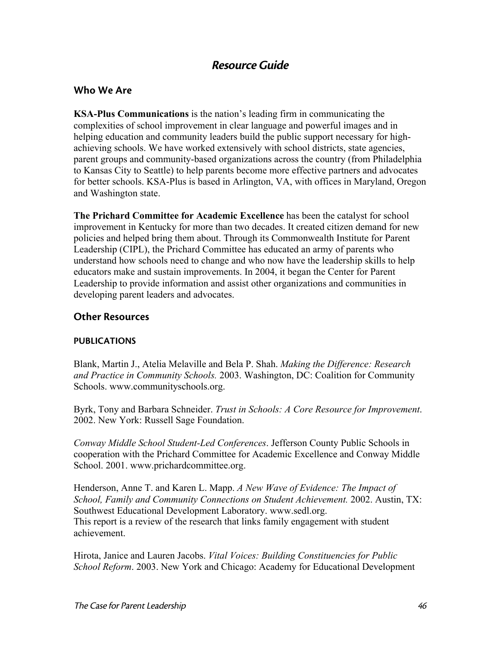## Resource Guide

#### Who We Are

**KSA-Plus Communications** is the nation's leading firm in communicating the complexities of school improvement in clear language and powerful images and in helping education and community leaders build the public support necessary for highachieving schools. We have worked extensively with school districts, state agencies, parent groups and community-based organizations across the country (from Philadelphia to Kansas City to Seattle) to help parents become more effective partners and advocates for better schools. KSA-Plus is based in Arlington, VA, with offices in Maryland, Oregon and Washington state.

**The Prichard Committee for Academic Excellence** has been the catalyst for school improvement in Kentucky for more than two decades. It created citizen demand for new policies and helped bring them about. Through its Commonwealth Institute for Parent Leadership (CIPL), the Prichard Committee has educated an army of parents who understand how schools need to change and who now have the leadership skills to help educators make and sustain improvements. In 2004, it began the Center for Parent Leadership to provide information and assist other organizations and communities in developing parent leaders and advocates.

#### Other Resources

#### PUBLICATIONS

Blank, Martin J., Atelia Melaville and Bela P. Shah. *Making the Difference: Research and Practice in Community Schools.* 2003. Washington, DC: Coalition for Community Schools. www.communityschools.org.

Byrk, Tony and Barbara Schneider. *Trust in Schools: A Core Resource for Improvement*. 2002. New York: Russell Sage Foundation.

*Conway Middle School Student-Led Conferences*. Jefferson County Public Schools in cooperation with the Prichard Committee for Academic Excellence and Conway Middle School. 2001. www.prichardcommittee.org.

Henderson, Anne T. and Karen L. Mapp. *A New Wave of Evidence: The Impact of School, Family and Community Connections on Student Achievement.* 2002. Austin, TX: Southwest Educational Development Laboratory. www.sedl.org. This report is a review of the research that links family engagement with student achievement.

Hirota, Janice and Lauren Jacobs. *Vital Voices: Building Constituencies for Public School Reform*. 2003. New York and Chicago: Academy for Educational Development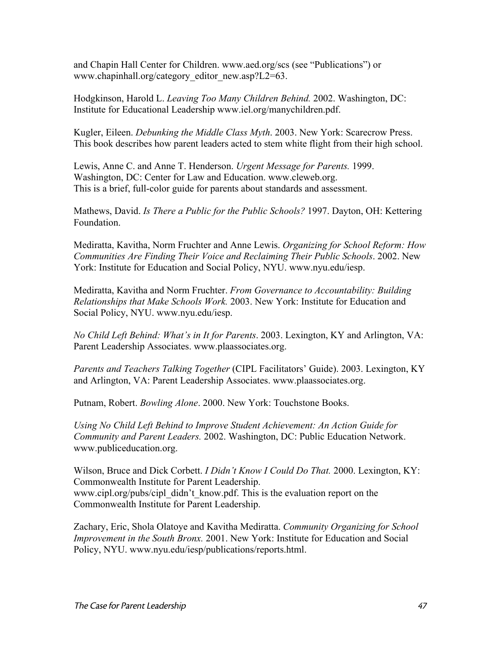and Chapin Hall Center for Children. www.aed.org/scs (see "Publications") or www.chapinhall.org/category\_editor\_new.asp?L2=63.

Hodgkinson, Harold L. *Leaving Too Many Children Behind.* 2002. Washington, DC: Institute for Educational Leadership www.iel.org/manychildren.pdf.

Kugler, Eileen. *Debunking the Middle Class Myth*. 2003. New York: Scarecrow Press. This book describes how parent leaders acted to stem white flight from their high school.

Lewis, Anne C. and Anne T. Henderson. *Urgent Message for Parents.* 1999. Washington, DC: Center for Law and Education. www.cleweb.org. This is a brief, full-color guide for parents about standards and assessment.

Mathews, David. *Is There a Public for the Public Schools?* 1997. Dayton, OH: Kettering Foundation.

Mediratta, Kavitha, Norm Fruchter and Anne Lewis. *Organizing for School Reform: How Communities Are Finding Their Voice and Reclaiming Their Public Schools*. 2002. New York: Institute for Education and Social Policy, NYU. www.nyu.edu/iesp.

Mediratta, Kavitha and Norm Fruchter. *From Governance to Accountability: Building Relationships that Make Schools Work.* 2003. New York: Institute for Education and Social Policy, NYU. www.nyu.edu/iesp.

*No Child Left Behind: What's in It for Parents*. 2003. Lexington, KY and Arlington, VA: Parent Leadership Associates. www.plaassociates.org.

*Parents and Teachers Talking Together* (CIPL Facilitators' Guide). 2003. Lexington, KY and Arlington, VA: Parent Leadership Associates. www.plaassociates.org.

Putnam, Robert. *Bowling Alone*. 2000. New York: Touchstone Books.

*Using No Child Left Behind to Improve Student Achievement: An Action Guide for Community and Parent Leaders.* 2002. Washington, DC: Public Education Network. www.publiceducation.org.

Wilson, Bruce and Dick Corbett. *I Didn't Know I Could Do That.* 2000. Lexington, KY: Commonwealth Institute for Parent Leadership. www.cipl.org/pubs/cipl\_didn't\_know.pdf. This is the evaluation report on the Commonwealth Institute for Parent Leadership.

Zachary, Eric, Shola Olatoye and Kavitha Mediratta. *Community Organizing for School Improvement in the South Bronx.* 2001. New York: Institute for Education and Social Policy, NYU. www.nyu.edu/iesp/publications/reports.html.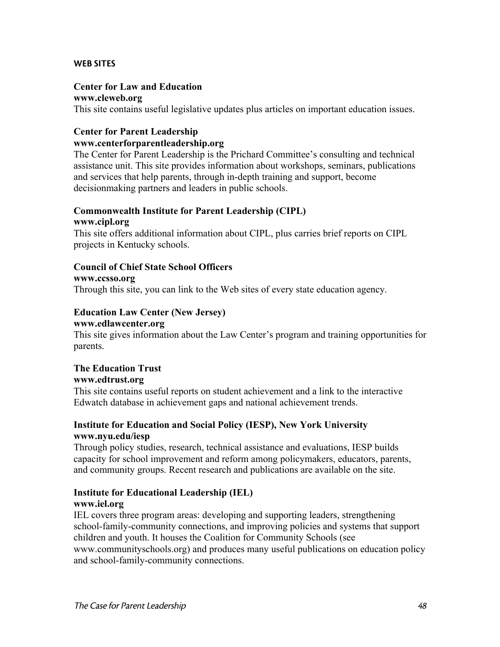#### WEB SITES

#### **Center for Law and Education**

#### **www.cleweb.org**

This site contains useful legislative updates plus articles on important education issues.

#### **Center for Parent Leadership**

#### **www.centerforparentleadership.org**

The Center for Parent Leadership is the Prichard Committee's consulting and technical assistance unit. This site provides information about workshops, seminars, publications and services that help parents, through in-depth training and support, become decisionmaking partners and leaders in public schools.

#### **Commonwealth Institute for Parent Leadership (CIPL) www.cipl.org**

This site offers additional information about CIPL, plus carries brief reports on CIPL projects in Kentucky schools.

#### **Council of Chief State School Officers**

**www.ccsso.org** Through this site, you can link to the Web sites of every state education agency.

## **Education Law Center (New Jersey)**

#### **www.edlawcenter.org**

This site gives information about the Law Center's program and training opportunities for parents.

#### **The Education Trust www.edtrust.org**

This site contains useful reports on student achievement and a link to the interactive Edwatch database in achievement gaps and national achievement trends.

#### **Institute for Education and Social Policy (IESP), New York University www.nyu.edu/iesp**

Through policy studies, research, technical assistance and evaluations, IESP builds capacity for school improvement and reform among policymakers, educators, parents, and community groups. Recent research and publications are available on the site.

#### **Institute for Educational Leadership (IEL)**

#### **www.iel.org**

IEL covers three program areas: developing and supporting leaders, strengthening school-family-community connections, and improving policies and systems that support children and youth. It houses the Coalition for Community Schools (see www.communityschools.org) and produces many useful publications on education policy and school-family-community connections.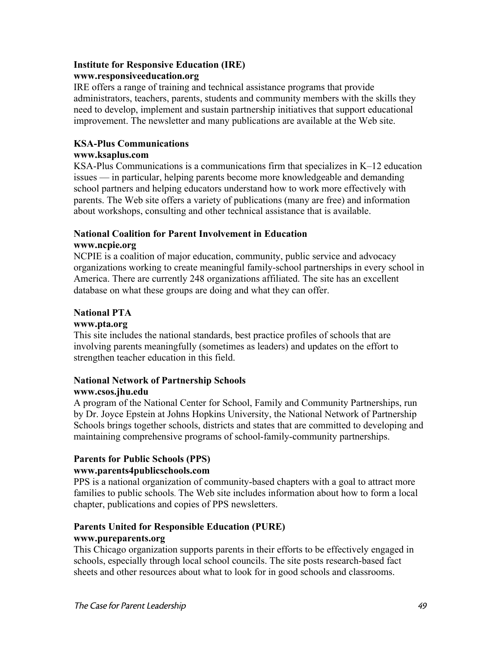#### **Institute for Responsive Education (IRE) www.responsiveeducation.org**

IRE offers a range of training and technical assistance programs that provide administrators, teachers, parents, students and community members with the skills they need to develop, implement and sustain partnership initiatives that support educational improvement. The newsletter and many publications are available at the Web site.

#### **KSA-Plus Communications**

#### **www.ksaplus.com**

KSA-Plus Communications is a communications firm that specializes in K–12 education issues — in particular, helping parents become more knowledgeable and demanding school partners and helping educators understand how to work more effectively with parents. The Web site offers a variety of publications (many are free) and information about workshops, consulting and other technical assistance that is available.

#### **National Coalition for Parent Involvement in Education www.ncpie.org**

NCPIE is a coalition of major education, community, public service and advocacy organizations working to create meaningful family-school partnerships in every school in America. There are currently 248 organizations affiliated. The site has an excellent database on what these groups are doing and what they can offer.

#### **National PTA**

#### **www.pta.org**

This site includes the national standards, best practice profiles of schools that are involving parents meaningfully (sometimes as leaders) and updates on the effort to strengthen teacher education in this field.

#### **National Network of Partnership Schools www.csos.jhu.edu**

A program of the National Center for School, Family and Community Partnerships, run by Dr. Joyce Epstein at Johns Hopkins University, the National Network of Partnership Schools brings together schools, districts and states that are committed to developing and maintaining comprehensive programs of school-family-community partnerships.

## **Parents for Public Schools (PPS)**

#### **www.parents4publicschools.com**

PPS is a national organization of community-based chapters with a goal to attract more families to public schools. The Web site includes information about how to form a local chapter, publications and copies of PPS newsletters.

#### **Parents United for Responsible Education (PURE)**

#### **www.pureparents.org**

This Chicago organization supports parents in their efforts to be effectively engaged in schools, especially through local school councils. The site posts research-based fact sheets and other resources about what to look for in good schools and classrooms.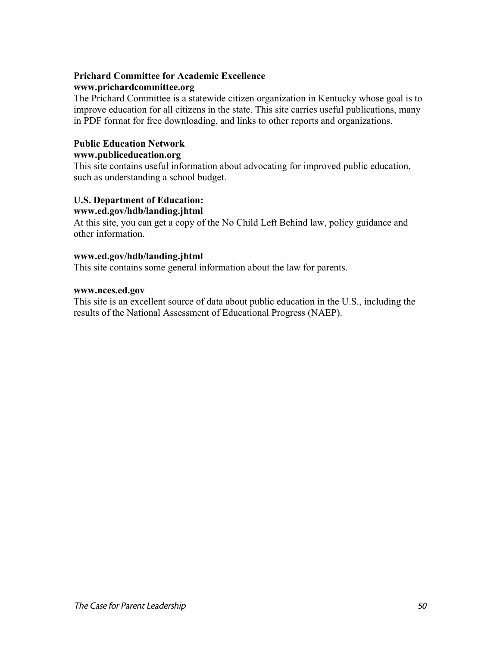#### **Prichard Committee for Academic Excellence www.prichardcommittee.org**

The Prichard Committee is a statewide citizen organization in Kentucky whose goal is to improve education for all citizens in the state. This site carries useful publications, many in PDF format for free downloading, and links to other reports and organizations.

#### **Public Education Network**

#### **www.publiceducation.org**

This site contains useful information about advocating for improved public education, such as understanding a school budget.

#### **U.S. Department of Education: www.ed.gov/hdb/landing.jhtml**

At this site, you can get a copy of the No Child Left Behind law, policy guidance and other information.

#### **www.ed.gov/hdb/landing.jhtml**

This site contains some general information about the law for parents.

#### **www.nces.ed.gov**

This site is an excellent source of data about public education in the U.S., including the results of the National Assessment of Educational Progress (NAEP).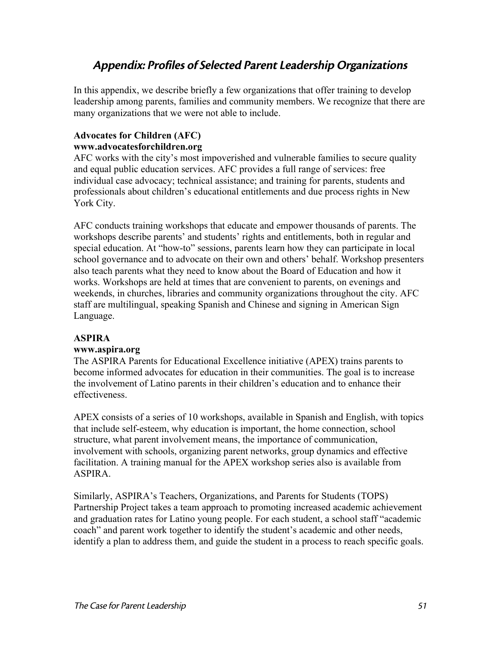## Appendix: Profiles of Selected Parent Leadership Organizations

In this appendix, we describe briefly a few organizations that offer training to develop leadership among parents, families and community members. We recognize that there are many organizations that we were not able to include.

#### **Advocates for Children (AFC) www.advocatesforchildren.org**

AFC works with the city's most impoverished and vulnerable families to secure quality and equal public education services. AFC provides a full range of services: free individual case advocacy; technical assistance; and training for parents, students and professionals about children's educational entitlements and due process rights in New York City.

AFC conducts training workshops that educate and empower thousands of parents. The workshops describe parents' and students' rights and entitlements, both in regular and special education. At "how-to" sessions, parents learn how they can participate in local school governance and to advocate on their own and others' behalf. Workshop presenters also teach parents what they need to know about the Board of Education and how it works. Workshops are held at times that are convenient to parents, on evenings and weekends, in churches, libraries and community organizations throughout the city. AFC staff are multilingual, speaking Spanish and Chinese and signing in American Sign Language.

#### **ASPIRA**

#### **www.aspira.org**

The ASPIRA Parents for Educational Excellence initiative (APEX) trains parents to become informed advocates for education in their communities. The goal is to increase the involvement of Latino parents in their children's education and to enhance their effectiveness.

APEX consists of a series of 10 workshops, available in Spanish and English, with topics that include self-esteem, why education is important, the home connection, school structure, what parent involvement means, the importance of communication, involvement with schools, organizing parent networks, group dynamics and effective facilitation. A training manual for the APEX workshop series also is available from ASPIRA.

Similarly, ASPIRA's Teachers, Organizations, and Parents for Students (TOPS) Partnership Project takes a team approach to promoting increased academic achievement and graduation rates for Latino young people. For each student, a school staff "academic coach" and parent work together to identify the student's academic and other needs, identify a plan to address them, and guide the student in a process to reach specific goals.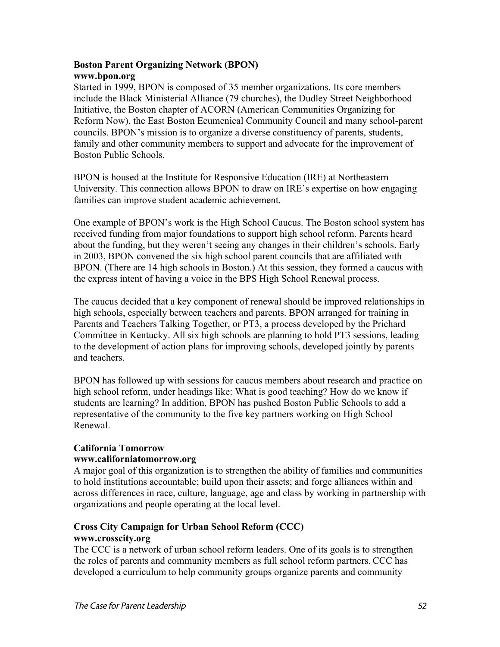#### **Boston Parent Organizing Network (BPON) www.bpon.org**

Started in 1999, BPON is composed of 35 member organizations. Its core members include the Black Ministerial Alliance (79 churches), the Dudley Street Neighborhood Initiative, the Boston chapter of ACORN (American Communities Organizing for Reform Now), the East Boston Ecumenical Community Council and many school-parent councils. BPON's mission is to organize a diverse constituency of parents, students, family and other community members to support and advocate for the improvement of Boston Public Schools.

BPON is housed at the Institute for Responsive Education (IRE) at Northeastern University. This connection allows BPON to draw on IRE's expertise on how engaging families can improve student academic achievement.

One example of BPON's work is the High School Caucus. The Boston school system has received funding from major foundations to support high school reform. Parents heard about the funding, but they weren't seeing any changes in their children's schools. Early in 2003, BPON convened the six high school parent councils that are affiliated with BPON. (There are 14 high schools in Boston.) At this session, they formed a caucus with the express intent of having a voice in the BPS High School Renewal process.

The caucus decided that a key component of renewal should be improved relationships in high schools, especially between teachers and parents. BPON arranged for training in Parents and Teachers Talking Together, or PT3, a process developed by the Prichard Committee in Kentucky. All six high schools are planning to hold PT3 sessions, leading to the development of action plans for improving schools, developed jointly by parents and teachers.

BPON has followed up with sessions for caucus members about research and practice on high school reform, under headings like: What is good teaching? How do we know if students are learning? In addition, BPON has pushed Boston Public Schools to add a representative of the community to the five key partners working on High School Renewal.

#### **California Tomorrow**

#### **www.californiatomorrow.org**

A major goal of this organization is to strengthen the ability of families and communities to hold institutions accountable; build upon their assets; and forge alliances within and across differences in race, culture, language, age and class by working in partnership with organizations and people operating at the local level.

#### **Cross City Campaign for Urban School Reform (CCC) www.crosscity.org**

The CCC is a network of urban school reform leaders. One of its goals is to strengthen the roles of parents and community members as full school reform partners. CCC has developed a curriculum to help community groups organize parents and community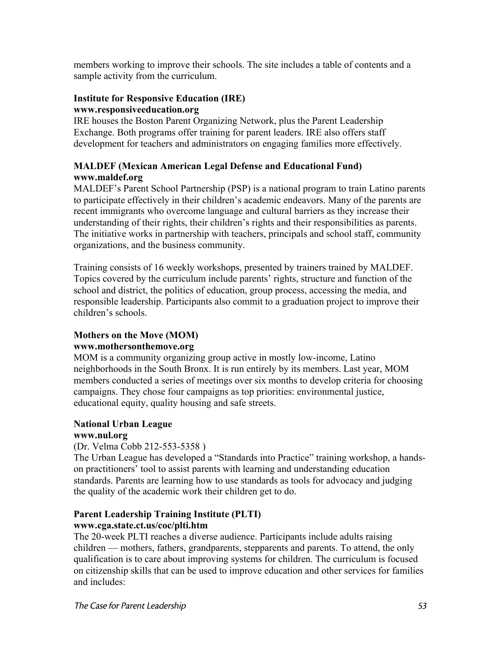members working to improve their schools. The site includes a table of contents and a sample activity from the curriculum.

#### **Institute for Responsive Education (IRE) www.responsiveeducation.org**

IRE houses the Boston Parent Organizing Network, plus the Parent Leadership Exchange. Both programs offer training for parent leaders. IRE also offers staff development for teachers and administrators on engaging families more effectively.

#### **MALDEF (Mexican American Legal Defense and Educational Fund) www.maldef.org**

MALDEF's Parent School Partnership (PSP) is a national program to train Latino parents to participate effectively in their children's academic endeavors. Many of the parents are recent immigrants who overcome language and cultural barriers as they increase their understanding of their rights, their children's rights and their responsibilities as parents. The initiative works in partnership with teachers, principals and school staff, community organizations, and the business community.

Training consists of 16 weekly workshops, presented by trainers trained by MALDEF. Topics covered by the curriculum include parents' rights, structure and function of the school and district, the politics of education, group process, accessing the media, and responsible leadership. Participants also commit to a graduation project to improve their children's schools.

#### **Mothers on the Move (MOM)**

#### **www.mothersonthemove.org**

MOM is a community organizing group active in mostly low-income, Latino neighborhoods in the South Bronx. It is run entirely by its members. Last year, MOM members conducted a series of meetings over six months to develop criteria for choosing campaigns. They chose four campaigns as top priorities: environmental justice, educational equity, quality housing and safe streets.

#### **National Urban League www.nul.org**

#### (Dr. Velma Cobb 212-553-5358 )

The Urban League has developed a "Standards into Practice" training workshop, a handson practitioners' tool to assist parents with learning and understanding education standards. Parents are learning how to use standards as tools for advocacy and judging the quality of the academic work their children get to do.

# **Parent Leadership Training Institute (PLTI)**

## **www.cga.state.ct.us/coc/plti.htm**

The 20-week PLTI reaches a diverse audience. Participants include adults raising children — mothers, fathers, grandparents, stepparents and parents. To attend, the only qualification is to care about improving systems for children. The curriculum is focused on citizenship skills that can be used to improve education and other services for families and includes: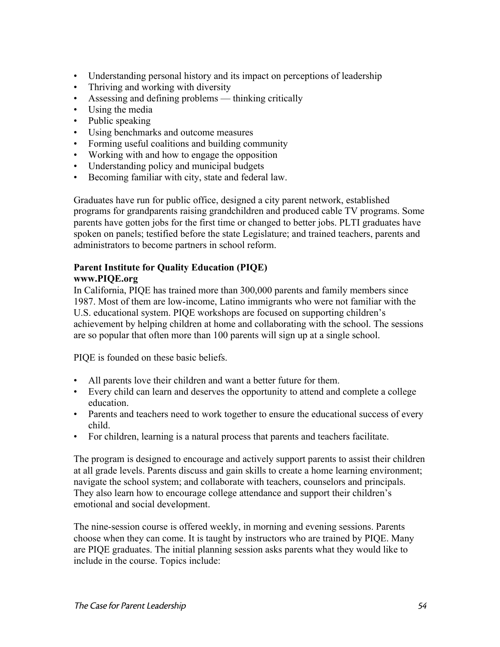- Understanding personal history and its impact on perceptions of leadership
- Thriving and working with diversity
- Assessing and defining problems thinking critically
- Using the media
- Public speaking
- Using benchmarks and outcome measures
- Forming useful coalitions and building community
- Working with and how to engage the opposition
- Understanding policy and municipal budgets
- Becoming familiar with city, state and federal law.

Graduates have run for public office, designed a city parent network, established programs for grandparents raising grandchildren and produced cable TV programs. Some parents have gotten jobs for the first time or changed to better jobs. PLTI graduates have spoken on panels; testified before the state Legislature; and trained teachers, parents and administrators to become partners in school reform.

#### **Parent Institute for Quality Education (PIQE) www.PIQE.org**

In California, PIQE has trained more than 300,000 parents and family members since 1987. Most of them are low-income, Latino immigrants who were not familiar with the U.S. educational system. PIQE workshops are focused on supporting children's achievement by helping children at home and collaborating with the school. The sessions are so popular that often more than 100 parents will sign up at a single school.

PIQE is founded on these basic beliefs.

- All parents love their children and want a better future for them.
- Every child can learn and deserves the opportunity to attend and complete a college education.
- Parents and teachers need to work together to ensure the educational success of every child.
- For children, learning is a natural process that parents and teachers facilitate.

The program is designed to encourage and actively support parents to assist their children at all grade levels. Parents discuss and gain skills to create a home learning environment; navigate the school system; and collaborate with teachers, counselors and principals. They also learn how to encourage college attendance and support their children's emotional and social development.

The nine-session course is offered weekly, in morning and evening sessions. Parents choose when they can come. It is taught by instructors who are trained by PIQE. Many are PIQE graduates. The initial planning session asks parents what they would like to include in the course. Topics include: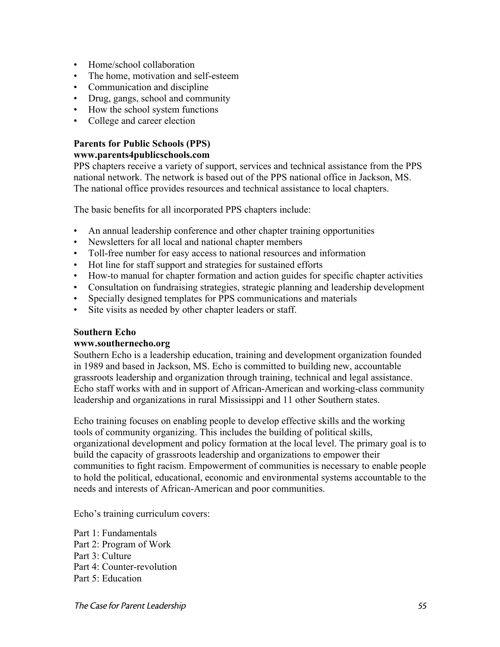- Home/school collaboration
- The home, motivation and self-esteem
- Communication and discipline
- Drug, gangs, school and community
- How the school system functions
- College and career election

#### **Parents for Public Schools (PPS) www.parents4publicschools.com**

PPS chapters receive a variety of support, services and technical assistance from the PPS national network. The network is based out of the PPS national office in Jackson, MS. The national office provides resources and technical assistance to local chapters.

The basic benefits for all incorporated PPS chapters include:

- An annual leadership conference and other chapter training opportunities
- Newsletters for all local and national chapter members
- Toll-free number for easy access to national resources and information
- Hot line for staff support and strategies for sustained efforts
- How-to manual for chapter formation and action guides for specific chapter activities
- Consultation on fundraising strategies, strategic planning and leadership development
- Specially designed templates for PPS communications and materials
- Site visits as needed by other chapter leaders or staff.

#### **Southern Echo**

#### **www.southernecho.org**

Southern Echo is a leadership education, training and development organization founded in 1989 and based in Jackson, MS. Echo is committed to building new, accountable grassroots leadership and organization through training, technical and legal assistance. Echo staff works with and in support of African-American and working-class community leadership and organizations in rural Mississippi and 11 other Southern states.

Echo training focuses on enabling people to develop effective skills and the working tools of community organizing. This includes the building of political skills, organizational development and policy formation at the local level. The primary goal is to build the capacity of grassroots leadership and organizations to empower their communities to fight racism. Empowerment of communities is necessary to enable people to hold the political, educational, economic and environmental systems accountable to the needs and interests of African-American and poor communities.

Echo's training curriculum covers:

Part 1: Fundamentals Part 2: Program of Work Part 3: Culture Part 4: Counter-revolution Part 5: Education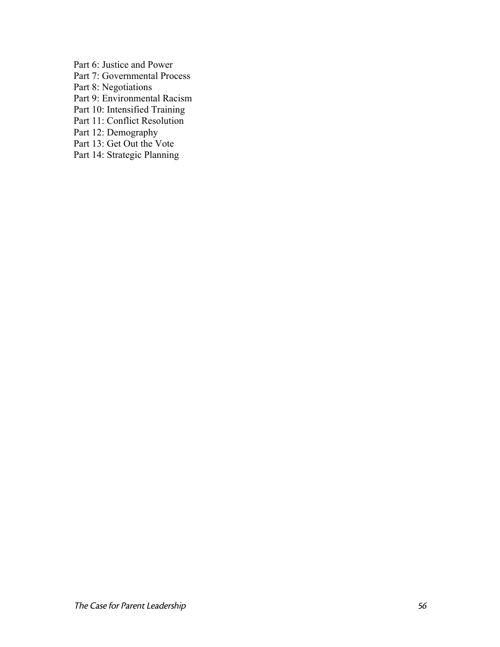Part 6: Justice and Power Part 7: Governmental Process Part 8: Negotiations Part 9: Environmental Racism Part 10: Intensified Training Part 11: Conflict Resolution Part 12: Demography Part 13: Get Out the Vote Part 14: Strategic Planning